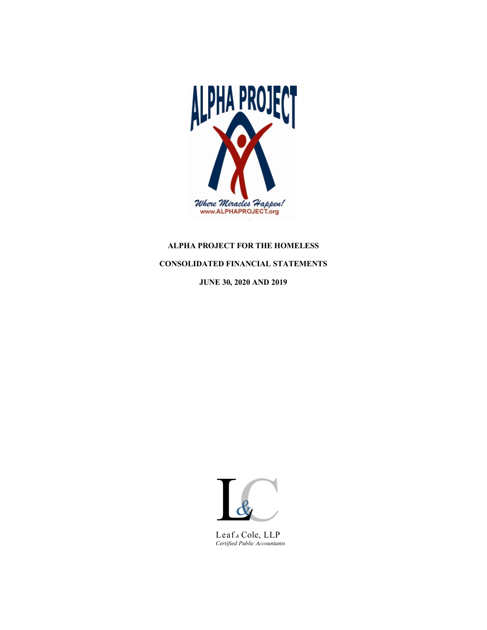

# **ALPHA PROJECT FOR THE HOMELESS**

### **CONSOLIDATED FINANCIAL STATEMENTS**

**JUNE 30, 2020 AND 2019**



*Certified Public Accountants* Leaf *&* Cole, LLP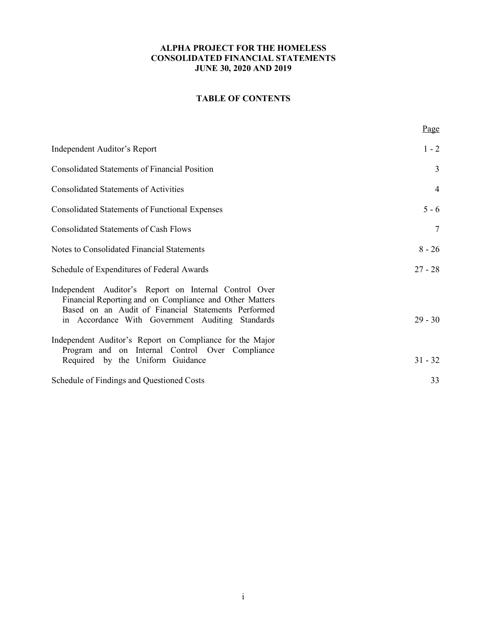# **TABLE OF CONTENTS**

Page

| Independent Auditor's Report                                                                                                                                                                                                | $1 - 2$        |
|-----------------------------------------------------------------------------------------------------------------------------------------------------------------------------------------------------------------------------|----------------|
| Consolidated Statements of Financial Position                                                                                                                                                                               | 3              |
| <b>Consolidated Statements of Activities</b>                                                                                                                                                                                | $\overline{4}$ |
| <b>Consolidated Statements of Functional Expenses</b>                                                                                                                                                                       | $5 - 6$        |
| <b>Consolidated Statements of Cash Flows</b>                                                                                                                                                                                | 7              |
| Notes to Consolidated Financial Statements                                                                                                                                                                                  | $8 - 26$       |
| Schedule of Expenditures of Federal Awards                                                                                                                                                                                  | $27 - 28$      |
| Independent Auditor's Report on Internal Control Over<br>Financial Reporting and on Compliance and Other Matters<br>Based on an Audit of Financial Statements Performed<br>in Accordance With Government Auditing Standards | $29 - 30$      |
| Independent Auditor's Report on Compliance for the Major<br>Program and on Internal Control Over Compliance<br>Required by the Uniform Guidance                                                                             | $31 - 32$      |
| Schedule of Findings and Questioned Costs                                                                                                                                                                                   | 33             |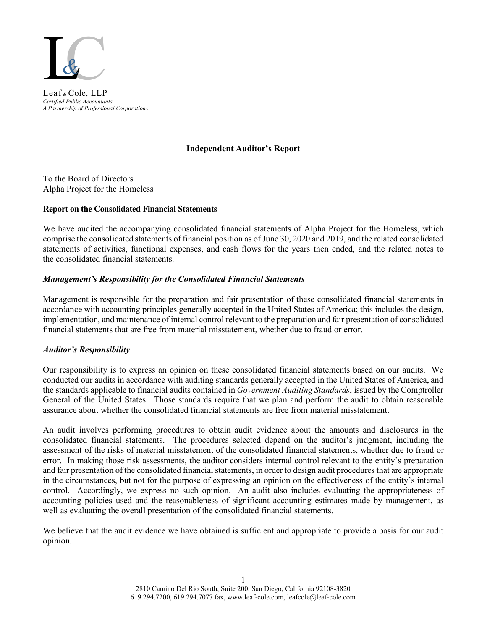

*Certified Public Accountants A Partnership of Professional Corporations* Leaf *&* Cole, LLP

## **Independent Auditor's Report**

To the Board of Directors Alpha Project for the Homeless

#### **Report on the Consolidated Financial Statements**

We have audited the accompanying consolidated financial statements of Alpha Project for the Homeless, which comprise the consolidated statements of financial position as of June 30, 2020 and 2019, and the related consolidated statements of activities, functional expenses, and cash flows for the years then ended, and the related notes to the consolidated financial statements.

#### *Management's Responsibility for the Consolidated Financial Statements*

Management is responsible for the preparation and fair presentation of these consolidated financial statements in accordance with accounting principles generally accepted in the United States of America; this includes the design, implementation, and maintenance of internal control relevant to the preparation and fair presentation of consolidated financial statements that are free from material misstatement, whether due to fraud or error.

#### *Auditor's Responsibility*

Our responsibility is to express an opinion on these consolidated financial statements based on our audits. We conducted our audits in accordance with auditing standards generally accepted in the United States of America, and the standards applicable to financial audits contained in *Government Auditing Standards*, issued by the Comptroller General of the United States. Those standards require that we plan and perform the audit to obtain reasonable assurance about whether the consolidated financial statements are free from material misstatement.

An audit involves performing procedures to obtain audit evidence about the amounts and disclosures in the consolidated financial statements. The procedures selected depend on the auditor's judgment, including the assessment of the risks of material misstatement of the consolidated financial statements, whether due to fraud or error. In making those risk assessments, the auditor considers internal control relevant to the entity's preparation and fair presentation of the consolidated financial statements, in order to design audit procedures that are appropriate in the circumstances, but not for the purpose of expressing an opinion on the effectiveness of the entity's internal control. Accordingly, we express no such opinion. An audit also includes evaluating the appropriateness of accounting policies used and the reasonableness of significant accounting estimates made by management, as well as evaluating the overall presentation of the consolidated financial statements.

We believe that the audit evidence we have obtained is sufficient and appropriate to provide a basis for our audit opinion.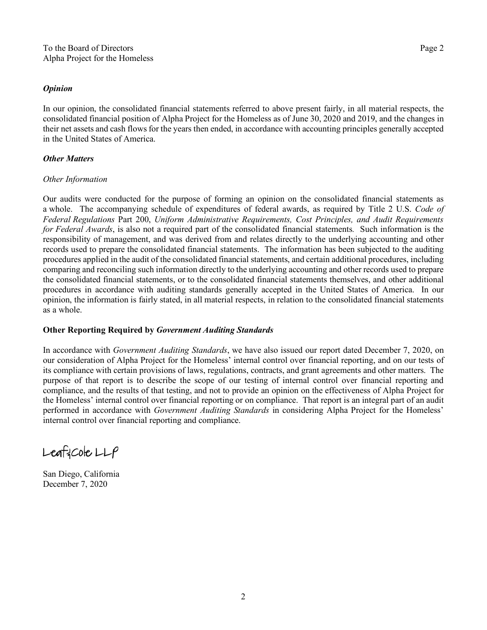#### *Opinion*

In our opinion, the consolidated financial statements referred to above present fairly, in all material respects, the consolidated financial position of Alpha Project for the Homeless as of June 30, 2020 and 2019, and the changes in their net assets and cash flows for the years then ended, in accordance with accounting principles generally accepted in the United States of America.

### *Other Matters*

#### *Other Information*

Our audits were conducted for the purpose of forming an opinion on the consolidated financial statements as a whole. The accompanying schedule of expenditures of federal awards, as required by Title 2 U.S. *Code of Federal Regulations* Part 200, *Uniform Administrative Requirements, Cost Principles, and Audit Requirements for Federal Awards*, is also not a required part of the consolidated financial statements*.* Such information is the responsibility of management, and was derived from and relates directly to the underlying accounting and other records used to prepare the consolidated financial statements. The information has been subjected to the auditing procedures applied in the audit of the consolidated financial statements, and certain additional procedures, including comparing and reconciling such information directly to the underlying accounting and other records used to prepare the consolidated financial statements, or to the consolidated financial statements themselves, and other additional procedures in accordance with auditing standards generally accepted in the United States of America. In our opinion, the information is fairly stated, in all material respects, in relation to the consolidated financial statements as a whole.

## **Other Reporting Required by** *Government Auditing Standards*

In accordance with *Government Auditing Standards*, we have also issued our report dated December 7, 2020, on our consideration of Alpha Project for the Homeless' internal control over financial reporting, and on our tests of its compliance with certain provisions of laws, regulations, contracts, and grant agreements and other matters. The purpose of that report is to describe the scope of our testing of internal control over financial reporting and compliance, and the results of that testing, and not to provide an opinion on the effectiveness of Alpha Project for the Homeless' internal control over financial reporting or on compliance. That report is an integral part of an audit performed in accordance with *Government Auditing Standards* in considering Alpha Project for the Homeless' internal control over financial reporting and compliance.

 $L$ eaf $3$ Cole  $LLP$ 

San Diego, California December 7, 2020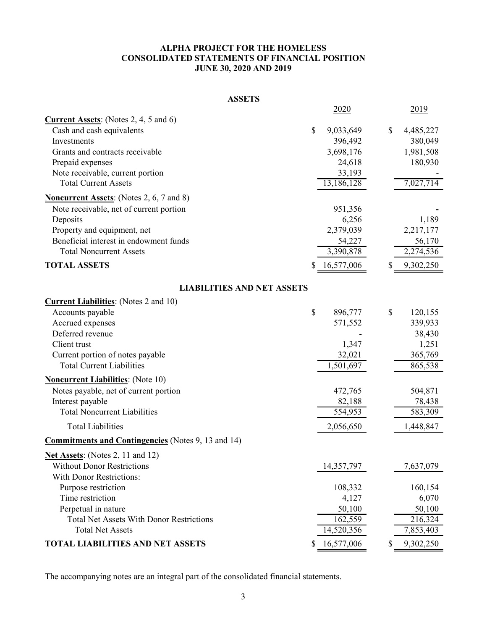#### **ALPHA PROJECT FOR THE HOMELESS CONSOLIDATED STATEMENTS OF FINANCIAL POSITION JUNE 30, 2020 AND 2019**

| <b>ASSETS</b>                                                              |                           |                            |
|----------------------------------------------------------------------------|---------------------------|----------------------------|
|                                                                            | 2020                      | 2019                       |
| <b>Current Assets:</b> (Notes 2, 4, 5 and 6)                               |                           |                            |
| Cash and cash equivalents                                                  | $\mathbb{S}$<br>9,033,649 | $\mathcal{S}$<br>4,485,227 |
| Investments                                                                | 396,492                   | 380,049                    |
| Grants and contracts receivable                                            | 3,698,176                 | 1,981,508                  |
| Prepaid expenses                                                           | 24,618                    | 180,930                    |
| Note receivable, current portion                                           | 33,193                    |                            |
| <b>Total Current Assets</b>                                                | 13,186,128                | 7,027,714                  |
| <b>Noncurrent Assets:</b> (Notes 2, 6, 7 and 8)                            |                           |                            |
| Note receivable, net of current portion                                    | 951,356                   |                            |
| Deposits                                                                   | 6,256                     | 1,189                      |
| Property and equipment, net                                                | 2,379,039                 | 2,217,177                  |
| Beneficial interest in endowment funds                                     | 54,227                    | 56,170                     |
| <b>Total Noncurrent Assets</b>                                             | 3,390,878                 | 2,274,536                  |
| <b>TOTAL ASSETS</b>                                                        | 16,577,006                | 9,302,250<br>\$            |
|                                                                            |                           |                            |
| <b>LIABILITIES AND NET ASSETS</b>                                          |                           |                            |
| <b>Current Liabilities:</b> (Notes 2 and 10)                               |                           |                            |
| Accounts payable                                                           | $\$$<br>896,777           | \$<br>120,155              |
| Accrued expenses                                                           | 571,552                   | 339,933                    |
| Deferred revenue                                                           |                           | 38,430                     |
| Client trust                                                               | 1,347                     | 1,251                      |
| Current portion of notes payable                                           | 32,021                    | 365,769                    |
| <b>Total Current Liabilities</b>                                           | 1,501,697                 | 865,538                    |
| <b>Noncurrent Liabilities:</b> (Note 10)                                   |                           |                            |
| Notes payable, net of current portion                                      | 472,765                   | 504,871                    |
| Interest payable                                                           | 82,188                    | 78,438                     |
| <b>Total Noncurrent Liabilities</b>                                        | 554,953                   | 583,309                    |
| <b>Total Liabilities</b>                                                   | 2,056,650                 | 1,448,847                  |
| <b>Commitments and Contingencies</b> (Notes 9, 13 and 14)                  |                           |                            |
|                                                                            |                           |                            |
| Net Assets: (Notes 2, 11 and 12)<br><b>Without Donor Restrictions</b>      |                           |                            |
|                                                                            | 14,357,797                | 7,637,079                  |
| <b>With Donor Restrictions:</b>                                            |                           |                            |
| Purpose restriction<br>Time restriction                                    | 108,332<br>4,127          | 160,154                    |
|                                                                            |                           | 6,070                      |
| Perpetual in nature                                                        | 50,100                    | 50,100                     |
| <b>Total Net Assets With Donor Restrictions</b><br><b>Total Net Assets</b> | 162,559<br>14,520,356     | 216,324                    |
|                                                                            |                           | 7,853,403                  |
| <b>TOTAL LIABILITIES AND NET ASSETS</b>                                    | 16,577,006<br>\$          | \$<br>9,302,250            |

The accompanying notes are an integral part of the consolidated financial statements.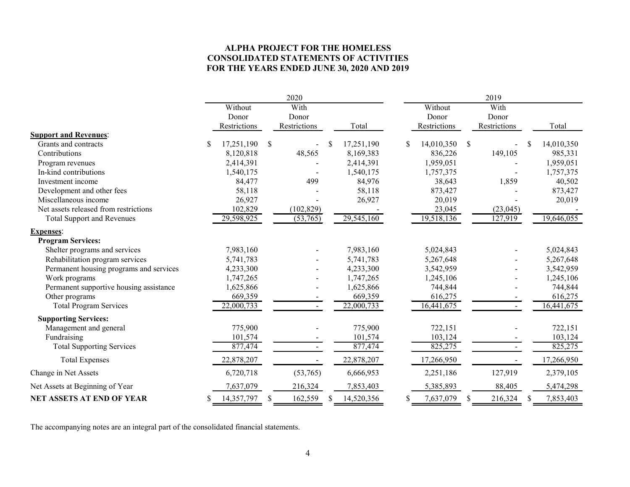### **ALPHA PROJECT FOR THE HOMELESS CONSOLIDATED STATEMENTS OF ACTIVITIES FOR THE YEARS ENDED JUNE 30, 2020 AND 2019**

|                                         |                  | 2020         |                             | 2019             |              |                            |  |  |
|-----------------------------------------|------------------|--------------|-----------------------------|------------------|--------------|----------------------------|--|--|
|                                         | Without          | With         |                             | Without          | With         |                            |  |  |
|                                         | Donor            | Donor        |                             | Donor            | Donor        |                            |  |  |
|                                         | Restrictions     | Restrictions | Total                       | Restrictions     | Restrictions | Total                      |  |  |
| <b>Support and Revenues:</b>            |                  |              |                             |                  |              |                            |  |  |
| Grants and contracts                    | \$<br>17,251,190 | -S           | 17,251,190<br><sup>S</sup>  | 14,010,350<br>\$ | \$           | 14,010,350<br>S            |  |  |
| Contributions                           | 8,120,818        | 48,565       | 8,169,383                   | 836,226          | 149,105      | 985,331                    |  |  |
| Program revenues                        | 2,414,391        |              | 2,414,391                   | 1,959,051        |              | 1,959,051                  |  |  |
| In-kind contributions                   | 1,540,175        |              | 1,540,175                   | 1,757,375        |              | 1,757,375                  |  |  |
| Investment income                       | 84,477           | 499          | 84,976                      | 38,643           | 1,859        | 40,502                     |  |  |
| Development and other fees              | 58,118           |              | 58,118                      | 873,427          |              | 873,427                    |  |  |
| Miscellaneous income                    | 26,927           |              | 26,927                      | 20,019           |              | 20,019                     |  |  |
| Net assets released from restrictions   | 102,829          | (102, 829)   |                             | 23,045           | (23, 045)    |                            |  |  |
| <b>Total Support and Revenues</b>       | 29,598,925       | (53,765)     | 29,545,160                  | 19,518,136       | 127,919      | 19,646,055                 |  |  |
| <b>Expenses:</b>                        |                  |              |                             |                  |              |                            |  |  |
| <b>Program Services:</b>                |                  |              |                             |                  |              |                            |  |  |
| Shelter programs and services           | 7,983,160        |              | 7,983,160                   | 5,024,843        |              | 5,024,843                  |  |  |
| Rehabilitation program services         | 5,741,783        |              | 5,741,783                   | 5,267,648        |              | 5,267,648                  |  |  |
| Permanent housing programs and services | 4,233,300        |              | 4,233,300                   | 3,542,959        |              | 3,542,959                  |  |  |
| Work programs                           | 1,747,265        |              | 1,747,265                   | 1,245,106        |              | 1,245,106                  |  |  |
| Permanent supportive housing assistance | 1,625,866        |              | 1,625,866                   | 744,844          |              | 744,844                    |  |  |
| Other programs                          | 669,359          |              | 669,359                     | 616,275          |              | 616,275                    |  |  |
| <b>Total Program Services</b>           | 22,000,733       |              | 22,000,733                  | 16,441,675       | $\sim$       | 16,441,675                 |  |  |
| <b>Supporting Services:</b>             |                  |              |                             |                  |              |                            |  |  |
| Management and general                  | 775,900          |              | 775,900                     | 722,151          |              | 722,151                    |  |  |
| Fundraising                             | 101,574          |              | 101,574                     | 103,124          |              | 103,124                    |  |  |
| <b>Total Supporting Services</b>        | 877,474          |              | 877,474                     | 825,275          |              | 825,275                    |  |  |
| <b>Total Expenses</b>                   | 22,878,207       |              | 22,878,207                  | 17,266,950       |              | 17,266,950                 |  |  |
| Change in Net Assets                    | 6,720,718        | (53,765)     | 6,666,953                   | 2,251,186        | 127,919      | 2,379,105                  |  |  |
| Net Assets at Beginning of Year         | 7,637,079        | 216,324      | 7,853,403                   | 5,385,893        | 88,405       | 5,474,298                  |  |  |
| <b>NET ASSETS AT END OF YEAR</b>        | 14,357,797<br>\$ | 162,559<br>S | 14,520,356<br><sup>\$</sup> | \$<br>7,637,079  | 216,324<br>S | <sup>\$</sup><br>7,853,403 |  |  |

The accompanying notes are an integral part of the consolidated financial statements.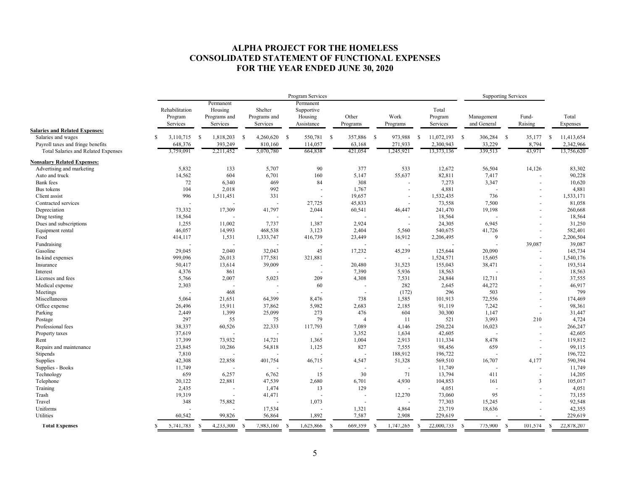### **ALPHA PROJECT FOR THE HOMELESS CONSOLIDATED STATEMENT OF FUNCTIONAL EXPENSES FOR THE YEAR ENDED JUNE 30, 2020**

|                                       |                | Program Services |                   |                          |                |                          | <b>Supporting Services</b> |                |                          |                  |
|---------------------------------------|----------------|------------------|-------------------|--------------------------|----------------|--------------------------|----------------------------|----------------|--------------------------|------------------|
|                                       |                | Permanent        |                   | Permanent                |                |                          |                            |                |                          |                  |
|                                       | Rehabilitation | Housing          | Shelter           | Supportive               |                |                          | Total                      |                |                          |                  |
|                                       | Program        | Programs and     | Programs and      | Housing                  | Other          | Work                     | Program                    | Management     | Fund-                    | Total            |
|                                       | Services       | Services         | Services          | Assistance               | Programs       | Programs                 | Services                   | and General    | Raising                  | Expenses         |
| <b>Salaries and Related Expenses:</b> |                |                  |                   |                          |                |                          |                            |                |                          |                  |
| Salaries and wages                    | 3,110,715<br>S | 1,818,203<br>- S | 4,260,620<br>- \$ | -S<br>550,781            | 357,886<br>- S | 973,988<br>-S            | 11,072,193<br>-S           | 306,284<br>- S | - S<br>35,177            | 11,413,654<br>-S |
| Payroll taxes and fringe benefits     | 648,376        | 393,249          | 810,160           | 114,057                  | 63,168         | 271,933                  | 2,300,943                  | 33,229         | 8,794                    | 2,342,966        |
| Total Salaries and Related Expenses   | 3,759,091      | 2,211,452        | 5,070,780         | 664,838                  | 421,054        | 1,245,921                | 13,373,136                 | 339,513        | 43,971                   | 13,756,620       |
| <b>Nonsalary Related Expenses:</b>    |                |                  |                   |                          |                |                          |                            |                |                          |                  |
| Advertising and marketing             | 5,832          | 133              | 5,707             | 90                       | 377            | 533                      | 12,672                     | 56,504         | 14,126                   | 83,302           |
| Auto and truck                        | 14,562         | 604              | 6,701             | 160                      | 5,147          | 55,637                   | 82,811                     | 7,417          | ÷,                       | 90,228           |
| Bank fees                             | 72             | 6,340            | 469               | 84                       | 308            | $\ddot{\phantom{1}}$     | 7,273                      | 3,347          | $\sim$                   | 10,620           |
| Bus tokens                            | 104            | 2,018            | 992               | $\sim$                   | 1,767          | $\blacksquare$           | 4,881                      |                | $\blacksquare$           | 4,881            |
| Client assist                         | 996            | 1,511,451        | 331               | $\overline{\phantom{a}}$ | 19,657         | $\overline{\phantom{a}}$ | 1,532,435                  | 736            | ä,                       | 1,533,171        |
| Contracted services                   |                |                  | $\sim$            | 27,725                   | 45,833         |                          | 73,558                     | 7,500          | $\blacksquare$           | 81,058           |
| Depreciation                          | 73,332         | 17,309           | 41,797            | 2,044                    | 60,541         | 46,447                   | 241,470                    | 19,198         |                          | 260,668          |
| Drug testing                          | 18,564         |                  |                   |                          |                |                          | 18,564                     |                | $\blacksquare$           | 18,564           |
| Dues and subscriptions                | 1,255          | 11,002           | 7,737             | 1,387                    | 2,924          |                          | 24,305                     | 6,945          |                          | 31,250           |
| Equipment rental                      | 46,057         | 14,993           | 468,538           | 3,123                    | 2,404          | 5,560                    | 540,675                    | 41,726         | ÷.                       | 582,401          |
| Food                                  | 414,117        | 1,531            | 1,333,747         | 416,739                  | 23,449         | 16,912                   | 2,206,495                  | 9              |                          | 2,206,504        |
| Fundraising                           |                |                  |                   | $\overline{a}$           |                |                          |                            |                | 39,087                   | 39,087           |
| Gasoline                              | 29,045         | 2,040            | 32,043            | 45                       | 17,232         | 45,239                   | 125,644                    | 20,090         | ä,                       | 145,734          |
| In-kind expenses                      | 999,096        | 26,013           | 177,581           | 321,881                  |                |                          | 1,524,571                  | 15,605         | ä,                       | 1,540,176        |
| Insurance                             | 50,417         |                  | 39,009            |                          | 20,480         |                          | 155,043                    |                |                          | 193,514          |
| Interest                              | 4,376          | 13,614<br>861    |                   |                          | 7,390          | 31,523<br>5,936          | 18,563                     | 38,471         |                          | 18,563           |
|                                       |                |                  |                   |                          |                |                          |                            |                |                          |                  |
| Licenses and fees                     | 5,766          | 2,007            | 5,023             | 209                      | 4,308          | 7,531                    | 24,844                     | 12,711         |                          | 37,555           |
| Medical expense                       | 2,303          | $\overline{a}$   |                   | 60                       | $\sim$         | 282                      | 2,645<br>296               | 44,272<br>503  |                          | 46,917<br>799    |
| Meetings                              |                | 468              |                   |                          | $\sim$         | (172)                    |                            |                | $\overline{a}$           |                  |
| Miscellaneous                         | 5,064          | 21,651           | 64,399            | 8,476                    | 738            | 1,585                    | 101,913                    | 72,556         | ÷.                       | 174,469          |
| Office expense                        | 26,496         | 15,911           | 37,862            | 5,982                    | 2,683          | 2,185                    | 91,119                     | 7,242          | $\overline{\phantom{a}}$ | 98,361           |
| Parking                               | 2,449          | 1,399            | 25,099            | 273                      | 476            | 604                      | 30,300                     | 1,147          | ÷                        | 31,447           |
| Postage                               | 297            | 55               | 75                | 79                       | $\overline{4}$ | 11                       | 521                        | 3,993          | 210                      | 4,724            |
| Professional fees                     | 38,337         | 60,526           | 22,333            | 117,793                  | 7,089          | 4,146                    | 250,224                    | 16,023         | ä,                       | 266,247          |
| Property taxes                        | 37,619         |                  |                   |                          | 3,352          | 1,634                    | 42,605                     |                | $\blacksquare$           | 42,605           |
| Rent                                  | 17,399         | 73,932           | 14,721            | 1,365                    | 1,004          | 2,913                    | 111,334                    | 8,478          | $\overline{a}$           | 119,812          |
| Repairs and maintenance               | 23,845         | 10,286           | 54,818            | 1,125                    | 827            | 7,555                    | 98,456                     | 659            | ä,                       | 99,115           |
| Stipends                              | 7,810          |                  |                   | $\ddot{\phantom{1}}$     |                | 188,912                  | 196,722                    |                |                          | 196,722          |
| Supplies                              | 42,308         | 22,858           | 401,754           | 46,715                   | 4,547          | 51,328                   | 569,510                    | 16,707         | 4,177                    | 590,394          |
| Supplies - Books                      | 11,749         |                  |                   |                          |                |                          | 11,749                     |                | $\overline{a}$           | 11,749           |
| Technology                            | 659            | 6,257            | 6,762             | 15                       | 30             | 71                       | 13,794                     | 411            | $\sim$                   | 14,205           |
| Telephone                             | 20,122         | 22,881           | 47,539            | 2,680                    | 6,701          | 4,930                    | 104,853                    | 161            | 3                        | 105,017          |
| Training                              | 2,435          | $\sim$           | 1,474             | 13                       | 129            |                          | 4,051                      |                |                          | 4,051            |
| Trash                                 | 19,319         |                  | 41,471            |                          |                | 12,270                   | 73,060                     | 95             |                          | 73,155           |
| Travel                                | 348            | 75,882           |                   | 1,073                    | ÷.             |                          | 77,303                     | 15,245         |                          | 92,548           |
| Uniforms                              |                |                  | 17,534            |                          | 1,321          | 4,864                    | 23,719                     | 18,636         |                          | 42,355           |
| Utilities                             | 60,542         | 99,826           | 56,864            | 1,892                    | 7,587          | 2,908                    | 229,619                    |                |                          | 229,619          |
| <b>Total Expenses</b>                 | 5,741,783<br>S | S<br>4,233,300   | 7,983,160<br>-S   | 1,625,866<br>-S          | - S<br>669,359 | 1,747,265<br>-S          | S<br>22,000,733            | 775,900<br>S   | 101,574<br>-S            | 22,878,207<br>S  |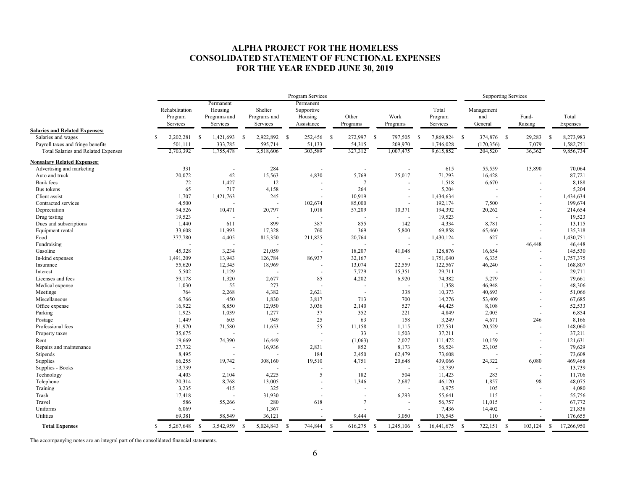### **ALPHA PROJECT FOR THE HOMELESS CONSOLIDATED STATEMENT OF FUNCTIONAL EXPENSES FOR THE YEAR ENDED JUNE 30, 2019**

|                                                                                 | Program Services     |                      |                           |                         |                          | <b>Supporting Services</b> |                        |                       |                          |                        |
|---------------------------------------------------------------------------------|----------------------|----------------------|---------------------------|-------------------------|--------------------------|----------------------------|------------------------|-----------------------|--------------------------|------------------------|
|                                                                                 |                      | Permanent            |                           | Permanent               |                          |                            |                        |                       |                          |                        |
|                                                                                 | Rehabilitation       | Housing              | Shelter                   | Supportive              |                          |                            | Total                  | Management            |                          |                        |
|                                                                                 | Program              | Programs and         | Programs and              | Housing                 | Other                    | Work                       | Program                | and                   | Fund-                    | Total                  |
|                                                                                 | Services             | Services             | Services                  | Assistance              | Programs                 | Programs                   | Services               | General               | Raising                  | Expenses               |
| <b>Salaries and Related Expenses:</b><br>Salaries and wages                     | 2,202,281<br>-S      | 1,421,693<br>-S      | 2,922,892                 | 252,456<br>- \$         | 272,997<br>-S            |                            | 7,869,824 \$           | 374,876 \$            |                          | 8,273,983              |
|                                                                                 |                      |                      | -S                        |                         |                          | 797,505<br>- \$            | -S                     |                       | 29,283                   | - S                    |
| Payroll taxes and fringe benefits<br><b>Total Salaries and Related Expenses</b> | 501,111<br>2,703,392 | 333,785<br>1,755,478 | 595,714<br>3,518,606      | 51,133<br>303,589       | 54,315<br>327,312        | 209,970<br>1,007,475       | 1,746,028<br>9,615,852 | (170, 356)<br>204,520 | 7,079<br>36,362          | 1,582,751<br>9,856,734 |
|                                                                                 |                      |                      |                           |                         |                          |                            |                        |                       |                          |                        |
| <b>Nonsalary Related Expenses:</b>                                              |                      |                      |                           |                         |                          |                            |                        |                       |                          |                        |
| Advertising and marketing                                                       | 331                  | ÷,                   | 284                       |                         | $\sim$                   | ÷,                         | 615                    | 55,559                | 13,890                   | 70,064                 |
| Auto and truck                                                                  | 20,072               | 42                   | 15,563                    | 4,830                   | 5,769                    | 25,017                     | 71,293                 | 16,428                | $\sim$                   | 87,721                 |
| Bank fees                                                                       | 72                   | 1,427                | 12                        |                         | $7\phantom{.0}$          | ä,                         | 1,518                  | 6,670                 | $\overline{\phantom{a}}$ | 8,188                  |
| Bus tokens                                                                      | 65                   | 717                  | 4,158                     | $\overline{a}$          | 264                      | ÷,                         | 5,204                  |                       | $\sim$                   | 5,204                  |
| Client assist                                                                   | 1,707                | 1,421,763            | 245                       |                         | 10,919                   | ÷                          | 1,434,634              |                       | $\overline{a}$           | 1,434,634              |
| Contracted services                                                             | 4,500                |                      | $\overline{a}$            | 102,674                 | 85,000                   | ä,                         | 192,174                | 7,500                 | $\overline{\phantom{a}}$ | 199,674                |
| Depreciation                                                                    | 94,526               | 10,471               | 20,797                    | 1,018                   | 57,209                   | 10,371                     | 194,392                | 20,262                |                          | 214,654                |
| Drug testing                                                                    | 19,523               |                      |                           |                         |                          |                            | 19,523                 |                       | $\overline{\phantom{a}}$ | 19,523                 |
| Dues and subscriptions                                                          | 1,440                | 611                  | 899                       | 387                     | 855                      | 142                        | 4,334                  | 8,781                 |                          | 13,115                 |
| Equipment rental                                                                | 33,608               | 11,993               | 17,328                    | 760                     | 369                      | 5,800                      | 69,858                 | 65,460                | $\sim$                   | 135,318                |
| Food                                                                            | 377,780              | 4,405                | 815,350                   | 211,825                 | 20,764                   | ÷,                         | 1,430,124              | 627                   | $\blacksquare$           | 1,430,751              |
| Fundraising                                                                     |                      |                      |                           |                         |                          |                            |                        |                       | 46,448                   | 46,448                 |
| Gasoline                                                                        | 45,328               | 3,234                | 21,059                    |                         | 18,207                   | 41,048                     | 128,876                | 16,654                |                          | 145,530                |
| In-kind expenses                                                                | 1,491,209            | 13,943               | 126,784                   | 86,937                  | 32,167                   |                            | 1,751,040              | 6,335                 |                          | 1,757,375              |
| Insurance                                                                       | 55,620               | 12,345               | 18,969                    |                         | 13,074                   | 22,559                     | 122,567                | 46,240                |                          | 168,807                |
| Interest                                                                        | 5,502                | 1,129                |                           | $\overline{a}$          | 7,729                    | 15,351                     | 29,711                 |                       |                          | 29,711                 |
| Licenses and fees                                                               | 59,178               | 1,320                | 2,677                     | 85                      | 4,202                    | 6,920                      | 74,382                 | 5,279                 | ÷,                       | 79,661                 |
| Medical expense                                                                 | 1,030                | 55                   | 273                       |                         | ÷.                       |                            | 1,358                  | 46,948                |                          | 48,306                 |
| Meetings                                                                        | 764                  | 2,268                | 4,382                     | 2,621                   | ÷.                       | 338                        | 10,373                 | 40,693                | $\overline{a}$           | 51,066                 |
| Miscellaneous                                                                   | 6,766                | 450                  | 1,830                     | 3,817                   | 713                      | 700                        | 14,276                 | 53,409                | $\blacksquare$           | 67,685                 |
| Office expense                                                                  | 16,922               | 8,850                | 12,950                    | 3,036                   | 2,140                    | 527                        | 44,425                 | 8,108                 | $\overline{\phantom{a}}$ | 52,533                 |
| Parking                                                                         | 1,923                | 1,039                | 1,277                     | 37                      | 352                      | 221                        | 4,849                  | 2,005                 | $\sim$                   | 6,854                  |
| Postage                                                                         | 1,449                | 605                  | 949                       | 25                      | 63                       | 158                        | 3,249                  | 4,671                 | 246                      | 8,166                  |
| Professional fees                                                               | 31,970               | 71,580               | 11,653                    | 55                      | 11,158                   | 1,115                      | 127,531                | 20,529                | ÷.                       | 148,060                |
| Property taxes                                                                  | 35,675               |                      |                           |                         | 33                       | 1,503                      | 37,211                 |                       | $\sim$                   | 37,211                 |
| Rent                                                                            | 19,669               | 74,390               | 16,449                    |                         | (1,063)                  | 2,027                      | 111,472                | 10,159                | L.                       | 121,631                |
| Repairs and maintenance                                                         | 27,732               | $\overline{a}$       | 16,936                    | 2,831                   | 852                      | 8,173                      | 56,524                 | 23,105                | $\sim$                   | 79,629                 |
| Stipends                                                                        | 8,495                |                      |                           | 184                     | 2,450                    | 62,479                     | 73,608                 |                       |                          | 73,608                 |
| Supplies                                                                        | 66,255               | 19,742               | 308,160                   | 19,510                  | 4,751                    | 20,648                     | 439,066                | 24,322                | 6,080                    | 469,468                |
| Supplies - Books                                                                | 13,739               |                      |                           |                         | $\sim$                   |                            | 13,739                 |                       | ÷.                       | 13,739                 |
| Technology                                                                      | 4,403                | 2,104                | 4,225                     | 5                       | 182                      | 504                        | 11,423                 | 283                   | $\overline{\phantom{a}}$ | 11,706                 |
| Telephone                                                                       | 20,314               | 8,768                | 13,005                    |                         | 1,346                    | 2,687                      | 46,120                 | 1,857                 | 98                       | 48,075                 |
| Training                                                                        | 3,235                | 415                  | 325                       |                         |                          |                            | 3,975                  | 105                   | ÷,                       | 4,080                  |
| Trash                                                                           | 17,418               |                      | 31,930                    |                         | $\overline{\phantom{a}}$ | 6,293                      | 55,641                 | 115                   | ä,                       | 55,756                 |
| Travel                                                                          | 586                  | 55,266               | 280                       | 618                     | $\overline{7}$           |                            | 56,757                 | 11,015                |                          | 67,772                 |
| Uniforms                                                                        | 6,069                |                      | 1,367                     |                         |                          |                            | 7,436                  | 14,402                | ÷,                       | 21,838                 |
| Utilities                                                                       | 69,381               | 58,549               | 36,121                    |                         | 9,444                    | 3,050                      | 176,545                | 110                   |                          | 176,655                |
| <b>Total Expenses</b>                                                           | 5,267,648<br>S       | 3,542,959<br>-S      | <sup>S</sup><br>5,024,843 | 744,844<br><sup>S</sup> | 616,275<br>-8            | 1,245,106<br>- 8           | S<br>16,441,675        | 722,151<br>- \$       | 103,124<br>-S            | S<br>17,266,950        |

The accompanying notes are an integral part of the consolidated financial statements.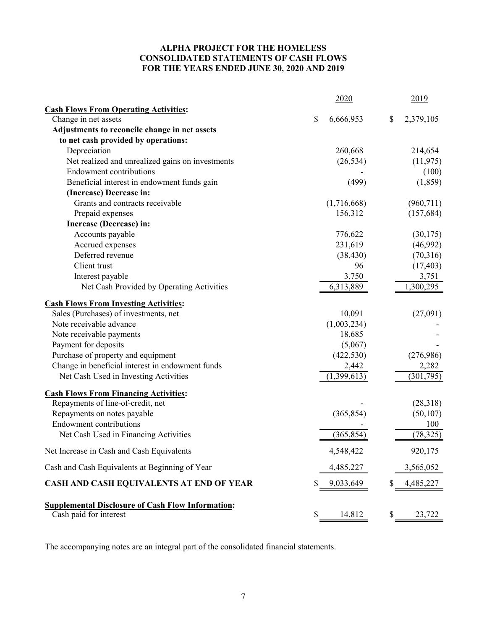### **ALPHA PROJECT FOR THE HOMELESS CONSOLIDATED STATEMENTS OF CASH FLOWS FOR THE YEARS ENDED JUNE 30, 2020 AND 2019**

|                                                                                    | 2020                   | 2019            |
|------------------------------------------------------------------------------------|------------------------|-----------------|
| <b>Cash Flows From Operating Activities:</b>                                       |                        |                 |
| Change in net assets                                                               | \$<br>6,666,953        | \$<br>2,379,105 |
| Adjustments to reconcile change in net assets                                      |                        |                 |
| to net cash provided by operations:                                                |                        |                 |
| Depreciation                                                                       | 260,668                | 214,654         |
| Net realized and unrealized gains on investments                                   | (26, 534)              | (11, 975)       |
| <b>Endowment contributions</b>                                                     |                        | (100)           |
| Beneficial interest in endowment funds gain                                        | (499)                  | (1,859)         |
| (Increase) Decrease in:                                                            |                        |                 |
| Grants and contracts receivable                                                    | (1,716,668)            | (960, 711)      |
| Prepaid expenses                                                                   | 156,312                | (157, 684)      |
| Increase (Decrease) in:                                                            |                        |                 |
| Accounts payable                                                                   | 776,622                | (30, 175)       |
| Accrued expenses                                                                   | 231,619                | (46,992)        |
| Deferred revenue                                                                   | (38, 430)              | (70,316)        |
| Client trust                                                                       | 96                     | (17, 403)       |
| Interest payable                                                                   | 3,750                  | 3,751           |
| Net Cash Provided by Operating Activities                                          | $\overline{6,3}13,889$ | 1,300,295       |
| <b>Cash Flows From Investing Activities:</b>                                       |                        |                 |
| Sales (Purchases) of investments, net                                              | 10,091                 | (27,091)        |
| Note receivable advance                                                            | (1,003,234)            |                 |
| Note receivable payments                                                           | 18,685                 |                 |
| Payment for deposits                                                               | (5,067)                |                 |
| Purchase of property and equipment                                                 | (422, 530)             | (276,986)       |
| Change in beneficial interest in endowment funds                                   | 2,442                  | 2,282           |
| Net Cash Used in Investing Activities                                              | (1,399,613)            | (301, 795)      |
| <b>Cash Flows From Financing Activities:</b>                                       |                        |                 |
| Repayments of line-of-credit, net                                                  |                        | (28,318)        |
| Repayments on notes payable                                                        | (365, 854)             | (50, 107)       |
| <b>Endowment contributions</b>                                                     |                        | 100             |
| Net Cash Used in Financing Activities                                              | (365, 854)             | (78, 325)       |
| Net Increase in Cash and Cash Equivalents                                          | 4,548,422              | 920,175         |
| Cash and Cash Equivalents at Beginning of Year                                     | 4,485,227              | 3,565,052       |
| CASH AND CASH EQUIVALENTS AT END OF YEAR                                           | 9,033,649              | 4,485,227       |
| <b>Supplemental Disclosure of Cash Flow Information:</b><br>Cash paid for interest | 14,812<br>\$           | \$<br>23,722    |

The accompanying notes are an integral part of the consolidated financial statements.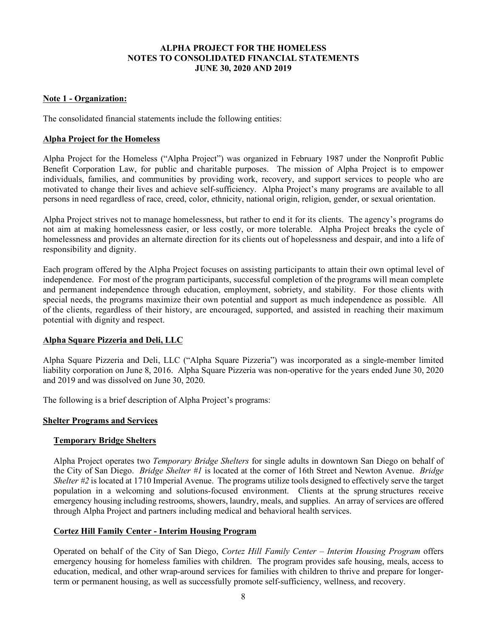### **Note 1 - Organization:**

The consolidated financial statements include the following entities:

#### **Alpha Project for the Homeless**

Alpha Project for the Homeless ("Alpha Project") was organized in February 1987 under the Nonprofit Public Benefit Corporation Law, for public and charitable purposes. The mission of Alpha Project is to empower individuals, families, and communities by providing work, recovery, and support services to people who are motivated to change their lives and achieve self-sufficiency. Alpha Project's many programs are available to all persons in need regardless of race, creed, color, ethnicity, national origin, religion, gender, or sexual orientation.

Alpha Project strives not to manage homelessness, but rather to end it for its clients. The agency's programs do not aim at making homelessness easier, or less costly, or more tolerable. Alpha Project breaks the cycle of homelessness and provides an alternate direction for its clients out of hopelessness and despair, and into a life of responsibility and dignity.

Each program offered by the Alpha Project focuses on assisting participants to attain their own optimal level of independence. For most of the program participants, successful completion of the programs will mean complete and permanent independence through education, employment, sobriety, and stability. For those clients with special needs, the programs maximize their own potential and support as much independence as possible. All of the clients, regardless of their history, are encouraged, supported, and assisted in reaching their maximum potential with dignity and respect.

#### **Alpha Square Pizzeria and Deli, LLC**

Alpha Square Pizzeria and Deli, LLC ("Alpha Square Pizzeria") was incorporated as a single-member limited liability corporation on June 8, 2016. Alpha Square Pizzeria was non-operative for the years ended June 30, 2020 and 2019 and was dissolved on June 30, 2020.

The following is a brief description of Alpha Project's programs:

#### **Shelter Programs and Services**

#### **Temporary Bridge Shelters**

Alpha Project operates two *Temporary Bridge Shelters* for single adults in downtown San Diego on behalf of the City of San Diego. *Bridge Shelter #1* is located at the corner of 16th Street and Newton Avenue. *Bridge Shelter #2* is located at 1710 Imperial Avenue. The programs utilize tools designed to effectively serve the target population in a welcoming and solutions-focused environment. Clients at the sprung structures receive emergency housing including restrooms, showers, laundry, meals, and supplies. An array of services are offered through Alpha Project and partners including medical and behavioral health services.

#### **Cortez Hill Family Center - Interim Housing Program**

Operated on behalf of the City of San Diego, *Cortez Hill Family Center – Interim Housing Program* offers emergency housing for homeless families with children. The program provides safe housing, meals, access to education, medical, and other wrap-around services for families with children to thrive and prepare for longerterm or permanent housing, as well as successfully promote self-sufficiency, wellness, and recovery.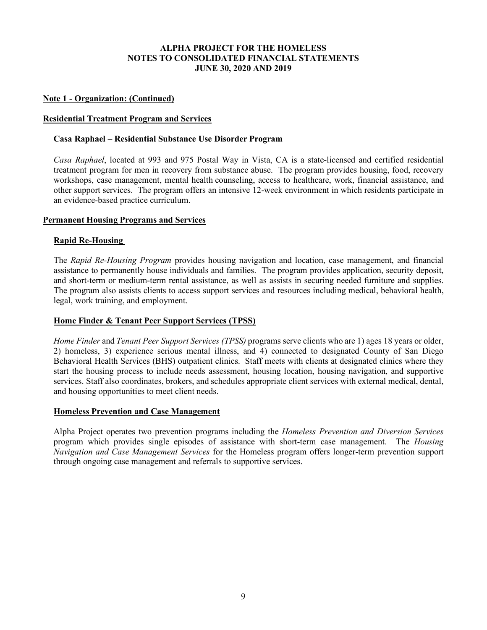#### **Note 1 - Organization: (Continued)**

#### **Residential Treatment Program and Services**

#### **Casa Raphael – Residential Substance Use Disorder Program**

*Casa Raphael*, located at 993 and 975 Postal Way in Vista, CA is a state-licensed and certified residential treatment program for men in recovery from substance abuse. The program provides housing, food, recovery workshops, case management, mental health counseling, access to healthcare, work, financial assistance, and other support services. The program offers an intensive 12-week environment in which residents participate in an evidence-based practice curriculum.

#### **Permanent Housing Programs and Services**

#### **Rapid Re-Housing**

The *Rapid Re-Housing Program* provides housing navigation and location, case management, and financial assistance to permanently house individuals and families. The program provides application, security deposit, and short-term or medium-term rental assistance, as well as assists in securing needed furniture and supplies. The program also assists clients to access support services and resources including medical, behavioral health, legal, work training, and employment.

#### **Home Finder & Tenant Peer Support Services (TPSS)**

*Home Finder* and *Tenant Peer Support Services (TPSS)* programs serve clients who are 1) ages 18 years or older, 2) homeless, 3) experience serious mental illness, and 4) connected to designated County of San Diego Behavioral Health Services (BHS) outpatient clinics. Staff meets with clients at designated clinics where they start the housing process to include needs assessment, housing location, housing navigation, and supportive services. Staff also coordinates, brokers, and schedules appropriate client services with external medical, dental, and housing opportunities to meet client needs.

#### **Homeless Prevention and Case Management**

Alpha Project operates two prevention programs including the *Homeless Prevention and Diversion Services* program which provides single episodes of assistance with short-term case management. The *Housing Navigation and Case Management Services* for the Homeless program offers longer-term prevention support through ongoing case management and referrals to supportive services.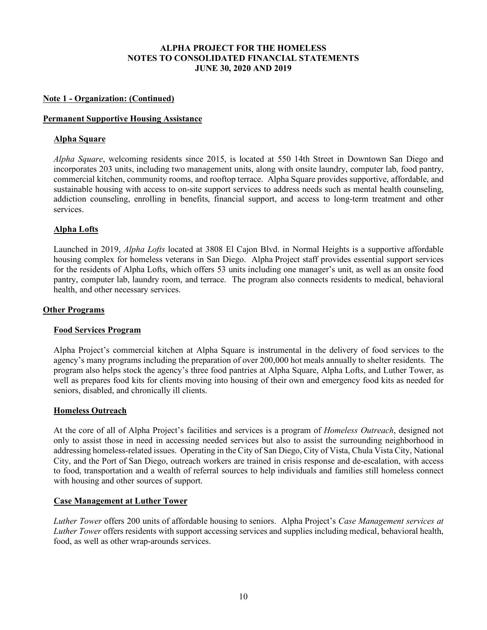#### **Note 1 - Organization: (Continued)**

#### **Permanent Supportive Housing Assistance**

#### **Alpha Square**

*Alpha Square*, welcoming residents since 2015, is located at 550 14th Street in Downtown San Diego and incorporates 203 units, including two management units, along with onsite laundry, computer lab, food pantry, commercial kitchen, community rooms, and rooftop terrace. Alpha Square provides supportive, affordable, and sustainable housing with access to on-site support services to address needs such as mental health counseling, addiction counseling, enrolling in benefits, financial support, and access to long-term treatment and other services.

#### **Alpha Lofts**

Launched in 2019, *Alpha Lofts* located at 3808 El Cajon Blvd. in Normal Heights is a supportive affordable housing complex for homeless veterans in San Diego. Alpha Project staff provides essential support services for the residents of Alpha Lofts, which offers 53 units including one manager's unit, as well as an onsite food pantry, computer lab, laundry room, and terrace. The program also connects residents to medical, behavioral health, and other necessary services.

#### **Other Programs**

#### **Food Services Program**

Alpha Project's commercial kitchen at Alpha Square is instrumental in the delivery of food services to the agency's many programs including the preparation of over 200,000 hot meals annually to shelter residents. The program also helps stock the agency's three food pantries at Alpha Square, Alpha Lofts, and Luther Tower, as well as prepares food kits for clients moving into housing of their own and emergency food kits as needed for seniors, disabled, and chronically ill clients.

#### **Homeless Outreach**

At the core of all of Alpha Project's facilities and services is a program of *Homeless Outreach*, designed not only to assist those in need in accessing needed services but also to assist the surrounding neighborhood in addressing homeless-related issues. Operating in the City of San Diego, City of Vista, Chula Vista City, National City, and the Port of San Diego, outreach workers are trained in crisis response and de-escalation, with access to food, transportation and a wealth of referral sources to help individuals and families still homeless connect with housing and other sources of support.

### **Case Management at Luther Tower**

*Luther Tower* offers 200 units of affordable housing to seniors. Alpha Project's *Case Management services at Luther Tower* offers residents with support accessing services and supplies including medical, behavioral health, food, as well as other wrap-arounds services.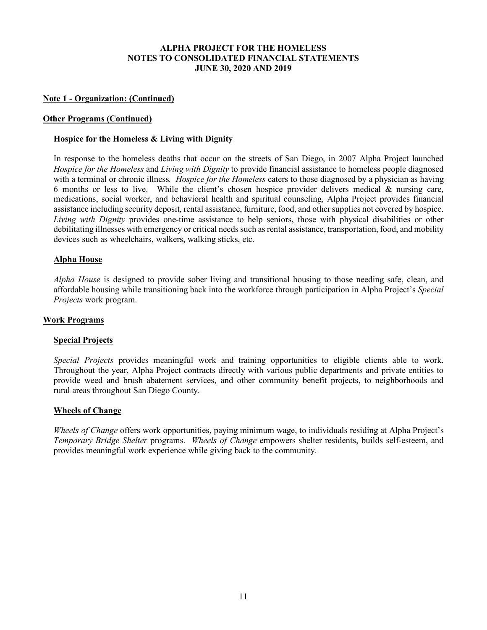#### **Note 1 - Organization: (Continued)**

#### **Other Programs (Continued)**

#### **Hospice for the Homeless & Living with Dignity**

In response to the homeless deaths that occur on the streets of San Diego, in 2007 Alpha Project launched *Hospice for the Homeless* and *Living with Dignity* to provide financial assistance to homeless people diagnosed with a terminal or chronic illness*. Hospice for the Homeless* caters to those diagnosed by a physician as having 6 months or less to live. While the client's chosen hospice provider delivers medical & nursing care, medications, social worker, and behavioral health and spiritual counseling, Alpha Project provides financial assistance including security deposit, rental assistance, furniture, food, and other supplies not covered by hospice. *Living with Dignity* provides one-time assistance to help seniors, those with physical disabilities or other debilitating illnesses with emergency or critical needs such as rental assistance, transportation, food, and mobility devices such as wheelchairs, walkers, walking sticks, etc.

#### **Alpha House**

*Alpha House* is designed to provide sober living and transitional housing to those needing safe, clean, and affordable housing while transitioning back into the workforce through participation in Alpha Project's *Special Projects* work program.

#### **Work Programs**

#### **Special Projects**

*Special Projects* provides meaningful work and training opportunities to eligible clients able to work. Throughout the year, Alpha Project contracts directly with various public departments and private entities to provide weed and brush abatement services, and other community benefit projects, to neighborhoods and rural areas throughout San Diego County.

#### **Wheels of Change**

*Wheels of Change* offers work opportunities, paying minimum wage, to individuals residing at Alpha Project's *Temporary Bridge Shelter* programs. *Wheels of Change* empowers shelter residents, builds self-esteem, and provides meaningful work experience while giving back to the community.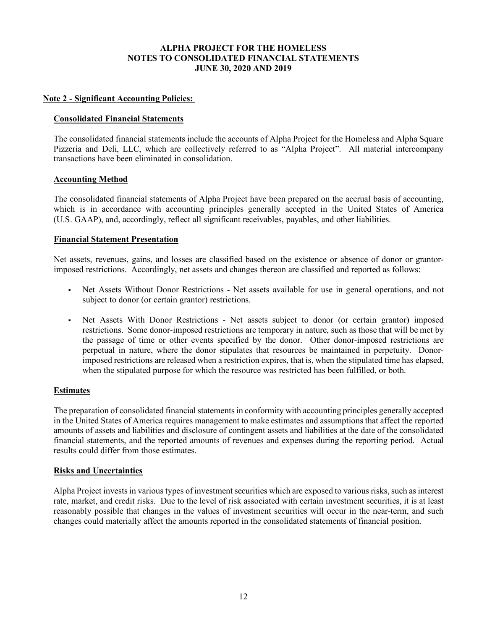#### **Note 2 - Significant Accounting Policies:**

#### **Consolidated Financial Statements**

The consolidated financial statements include the accounts of Alpha Project for the Homeless and Alpha Square Pizzeria and Deli, LLC, which are collectively referred to as "Alpha Project". All material intercompany transactions have been eliminated in consolidation.

#### **Accounting Method**

The consolidated financial statements of Alpha Project have been prepared on the accrual basis of accounting, which is in accordance with accounting principles generally accepted in the United States of America (U.S. GAAP), and, accordingly, reflect all significant receivables, payables, and other liabilities.

#### **Financial Statement Presentation**

Net assets, revenues, gains, and losses are classified based on the existence or absence of donor or grantorimposed restrictions. Accordingly, net assets and changes thereon are classified and reported as follows:

- Net Assets Without Donor Restrictions Net assets available for use in general operations, and not subject to donor (or certain grantor) restrictions.
- Net Assets With Donor Restrictions Net assets subject to donor (or certain grantor) imposed restrictions. Some donor-imposed restrictions are temporary in nature, such as those that will be met by the passage of time or other events specified by the donor. Other donor-imposed restrictions are perpetual in nature, where the donor stipulates that resources be maintained in perpetuity. Donorimposed restrictions are released when a restriction expires, that is, when the stipulated time has elapsed, when the stipulated purpose for which the resource was restricted has been fulfilled, or both.

#### **Estimates**

The preparation of consolidated financial statements in conformity with accounting principles generally accepted in the United States of America requires management to make estimates and assumptions that affect the reported amounts of assets and liabilities and disclosure of contingent assets and liabilities at the date of the consolidated financial statements, and the reported amounts of revenues and expenses during the reporting period. Actual results could differ from those estimates.

#### **Risks and Uncertainties**

Alpha Project invests in various types of investment securities which are exposed to various risks, such as interest rate, market, and credit risks. Due to the level of risk associated with certain investment securities, it is at least reasonably possible that changes in the values of investment securities will occur in the near-term, and such changes could materially affect the amounts reported in the consolidated statements of financial position.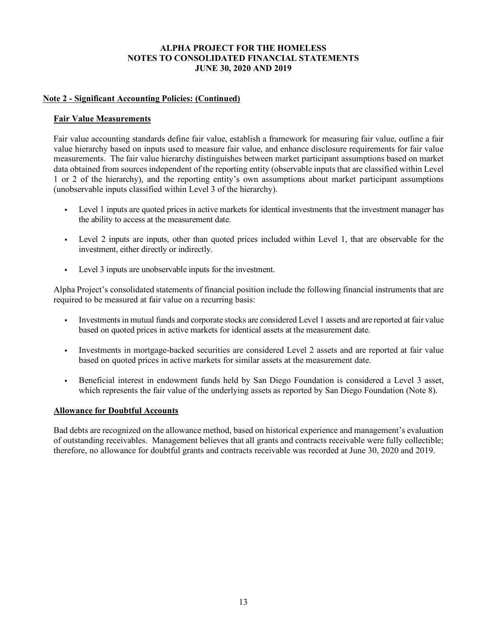### **Note 2 - Significant Accounting Policies: (Continued)**

#### **Fair Value Measurements**

Fair value accounting standards define fair value, establish a framework for measuring fair value, outline a fair value hierarchy based on inputs used to measure fair value, and enhance disclosure requirements for fair value measurements. The fair value hierarchy distinguishes between market participant assumptions based on market data obtained from sources independent of the reporting entity (observable inputs that are classified within Level 1 or 2 of the hierarchy), and the reporting entity's own assumptions about market participant assumptions (unobservable inputs classified within Level 3 of the hierarchy).

- Level 1 inputs are quoted prices in active markets for identical investments that the investment manager has the ability to access at the measurement date.
- Level 2 inputs are inputs, other than quoted prices included within Level 1, that are observable for the investment, either directly or indirectly.
- Level 3 inputs are unobservable inputs for the investment.

Alpha Project's consolidated statements of financial position include the following financial instruments that are required to be measured at fair value on a recurring basis:

- Investments in mutual funds and corporate stocks are considered Level 1 assets and are reported at fair value based on quoted prices in active markets for identical assets at the measurement date.
- Investments in mortgage-backed securities are considered Level 2 assets and are reported at fair value based on quoted prices in active markets for similar assets at the measurement date.
- Beneficial interest in endowment funds held by San Diego Foundation is considered a Level 3 asset, which represents the fair value of the underlying assets as reported by San Diego Foundation (Note 8).

#### **Allowance for Doubtful Accounts**

Bad debts are recognized on the allowance method, based on historical experience and management's evaluation of outstanding receivables. Management believes that all grants and contracts receivable were fully collectible; therefore, no allowance for doubtful grants and contracts receivable was recorded at June 30, 2020 and 2019.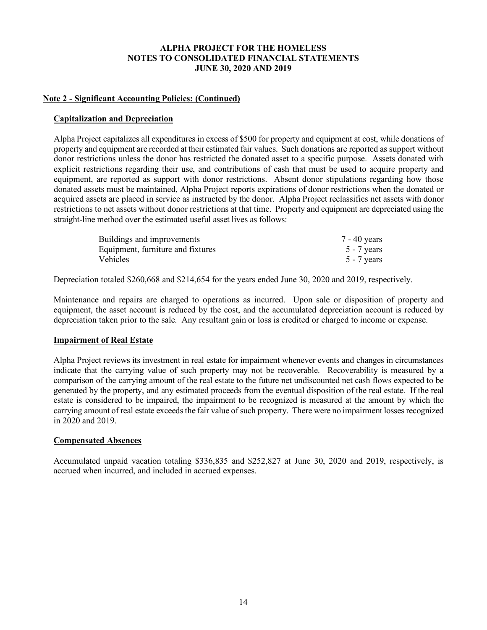#### **Note 2 - Significant Accounting Policies: (Continued)**

#### **Capitalization and Depreciation**

Alpha Project capitalizes all expenditures in excess of \$500 for property and equipment at cost, while donations of property and equipment are recorded at their estimated fair values. Such donations are reported as support without donor restrictions unless the donor has restricted the donated asset to a specific purpose. Assets donated with explicit restrictions regarding their use, and contributions of cash that must be used to acquire property and equipment, are reported as support with donor restrictions. Absent donor stipulations regarding how those donated assets must be maintained, Alpha Project reports expirations of donor restrictions when the donated or acquired assets are placed in service as instructed by the donor. Alpha Project reclassifies net assets with donor restrictions to net assets without donor restrictions at that time. Property and equipment are depreciated using the straight-line method over the estimated useful asset lives as follows:

| Buildings and improvements        | 7 - 40 years |
|-----------------------------------|--------------|
| Equipment, furniture and fixtures | 5 - 7 years  |
| Vehicles                          | 5 - 7 years  |

Depreciation totaled \$260,668 and \$214,654 for the years ended June 30, 2020 and 2019, respectively.

Maintenance and repairs are charged to operations as incurred. Upon sale or disposition of property and equipment, the asset account is reduced by the cost, and the accumulated depreciation account is reduced by depreciation taken prior to the sale. Any resultant gain or loss is credited or charged to income or expense.

#### **Impairment of Real Estate**

Alpha Project reviews its investment in real estate for impairment whenever events and changes in circumstances indicate that the carrying value of such property may not be recoverable. Recoverability is measured by a comparison of the carrying amount of the real estate to the future net undiscounted net cash flows expected to be generated by the property, and any estimated proceeds from the eventual disposition of the real estate. If the real estate is considered to be impaired, the impairment to be recognized is measured at the amount by which the carrying amount of real estate exceeds the fair value of such property. There were no impairment losses recognized in 2020 and 2019.

#### **Compensated Absences**

Accumulated unpaid vacation totaling \$336,835 and \$252,827 at June 30, 2020 and 2019, respectively, is accrued when incurred, and included in accrued expenses.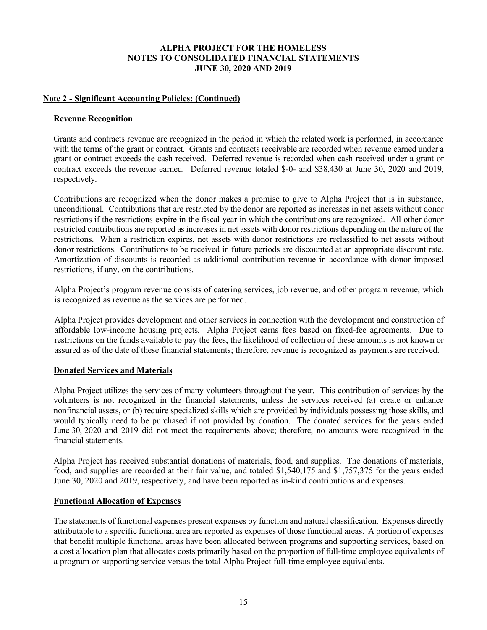### **Note 2 - Significant Accounting Policies: (Continued)**

#### **Revenue Recognition**

Grants and contracts revenue are recognized in the period in which the related work is performed, in accordance with the terms of the grant or contract. Grants and contracts receivable are recorded when revenue earned under a grant or contract exceeds the cash received. Deferred revenue is recorded when cash received under a grant or contract exceeds the revenue earned. Deferred revenue totaled \$-0- and \$38,430 at June 30, 2020 and 2019, respectively.

Contributions are recognized when the donor makes a promise to give to Alpha Project that is in substance, unconditional. Contributions that are restricted by the donor are reported as increases in net assets without donor restrictions if the restrictions expire in the fiscal year in which the contributions are recognized. All other donor restricted contributions are reported as increases in net assets with donor restrictions depending on the nature of the restrictions. When a restriction expires, net assets with donor restrictions are reclassified to net assets without donor restrictions. Contributions to be received in future periods are discounted at an appropriate discount rate. Amortization of discounts is recorded as additional contribution revenue in accordance with donor imposed restrictions, if any, on the contributions.

Alpha Project's program revenue consists of catering services, job revenue, and other program revenue, which is recognized as revenue as the services are performed.

Alpha Project provides development and other services in connection with the development and construction of affordable low-income housing projects*.* Alpha Project earns fees based on fixed-fee agreements. Due to restrictions on the funds available to pay the fees, the likelihood of collection of these amounts is not known or assured as of the date of these financial statements; therefore, revenue is recognized as payments are received.

#### **Donated Services and Materials**

Alpha Project utilizes the services of many volunteers throughout the year. This contribution of services by the volunteers is not recognized in the financial statements, unless the services received (a) create or enhance nonfinancial assets, or (b) require specialized skills which are provided by individuals possessing those skills, and would typically need to be purchased if not provided by donation. The donated services for the years ended June 30, 2020 and 2019 did not meet the requirements above; therefore, no amounts were recognized in the financial statements.

Alpha Project has received substantial donations of materials, food, and supplies. The donations of materials, food, and supplies are recorded at their fair value, and totaled \$1,540,175 and \$1,757,375 for the years ended June 30, 2020 and 2019, respectively, and have been reported as in-kind contributions and expenses.

#### **Functional Allocation of Expenses**

The statements of functional expenses present expenses by function and natural classification. Expenses directly attributable to a specific functional area are reported as expenses of those functional areas. A portion of expenses that benefit multiple functional areas have been allocated between programs and supporting services, based on a cost allocation plan that allocates costs primarily based on the proportion of full-time employee equivalents of a program or supporting service versus the total Alpha Project full-time employee equivalents.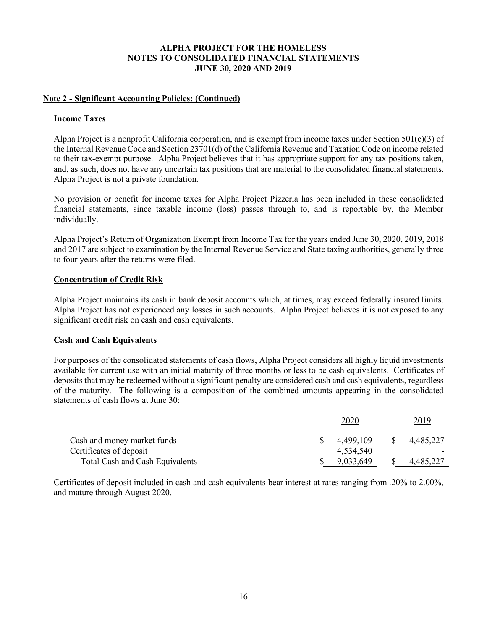### **Note 2 - Significant Accounting Policies: (Continued)**

#### **Income Taxes**

Alpha Project is a nonprofit California corporation, and is exempt from income taxes under Section 501(c)(3) of the Internal Revenue Code and Section 23701(d) of the California Revenue and Taxation Code on income related to their tax-exempt purpose. Alpha Project believes that it has appropriate support for any tax positions taken, and, as such, does not have any uncertain tax positions that are material to the consolidated financial statements. Alpha Project is not a private foundation.

No provision or benefit for income taxes for Alpha Project Pizzeria has been included in these consolidated financial statements, since taxable income (loss) passes through to, and is reportable by, the Member individually.

Alpha Project's Return of Organization Exempt from Income Tax for the years ended June 30, 2020, 2019, 2018 and 2017 are subject to examination by the Internal Revenue Service and State taxing authorities, generally three to four years after the returns were filed.

#### **Concentration of Credit Risk**

Alpha Project maintains its cash in bank deposit accounts which, at times, may exceed federally insured limits. Alpha Project has not experienced any losses in such accounts. Alpha Project believes it is not exposed to any significant credit risk on cash and cash equivalents.

#### **Cash and Cash Equivalents**

For purposes of the consolidated statements of cash flows, Alpha Project considers all highly liquid investments available for current use with an initial maturity of three months or less to be cash equivalents. Certificates of deposits that may be redeemed without a significant penalty are considered cash and cash equivalents, regardless of the maturity. The following is a composition of the combined amounts appearing in the consolidated statements of cash flows at June 30:

|                                 | 2020      | 2019      |
|---------------------------------|-----------|-----------|
| Cash and money market funds     | 4,499,109 | 4.485.227 |
| Certificates of deposit         | 4,534,540 |           |
| Total Cash and Cash Equivalents | 9,033,649 | 4,485,227 |

Certificates of deposit included in cash and cash equivalents bear interest at rates ranging from .20% to 2.00%, and mature through August 2020.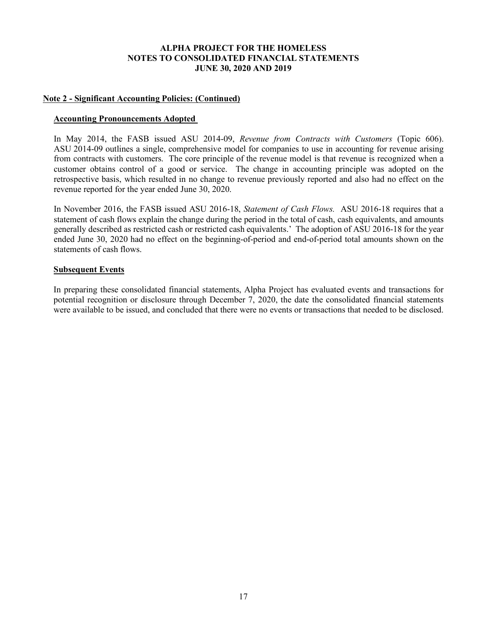#### **Note 2 - Significant Accounting Policies: (Continued)**

#### **Accounting Pronouncements Adopted**

In May 2014, the FASB issued ASU 2014-09, *Revenue from Contracts with Customers* (Topic 606). ASU 2014-09 outlines a single, comprehensive model for companies to use in accounting for revenue arising from contracts with customers. The core principle of the revenue model is that revenue is recognized when a customer obtains control of a good or service. The change in accounting principle was adopted on the retrospective basis, which resulted in no change to revenue previously reported and also had no effect on the revenue reported for the year ended June 30, 2020.

In November 2016, the FASB issued ASU 2016-18, *Statement of Cash Flows.* ASU 2016-18 requires that a statement of cash flows explain the change during the period in the total of cash, cash equivalents, and amounts generally described as restricted cash or restricted cash equivalents.' The adoption of ASU 2016-18 for the year ended June 30, 2020 had no effect on the beginning-of-period and end-of-period total amounts shown on the statements of cash flows.

#### **Subsequent Events**

In preparing these consolidated financial statements, Alpha Project has evaluated events and transactions for potential recognition or disclosure through December 7, 2020, the date the consolidated financial statements were available to be issued, and concluded that there were no events or transactions that needed to be disclosed.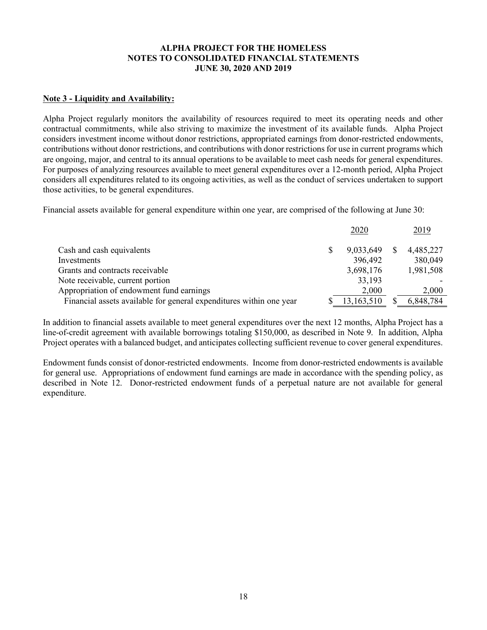### **Note 3 - Liquidity and Availability:**

Alpha Project regularly monitors the availability of resources required to meet its operating needs and other contractual commitments, while also striving to maximize the investment of its available funds. Alpha Project considers investment income without donor restrictions, appropriated earnings from donor-restricted endowments, contributions without donor restrictions, and contributions with donor restrictions for use in current programs which are ongoing, major, and central to its annual operations to be available to meet cash needs for general expenditures. For purposes of analyzing resources available to meet general expenditures over a 12-month period, Alpha Project considers all expenditures related to its ongoing activities, as well as the conduct of services undertaken to support those activities, to be general expenditures.

Financial assets available for general expenditure within one year, are comprised of the following at June 30:

|                                                                     | 2020       | 2019      |
|---------------------------------------------------------------------|------------|-----------|
| Cash and cash equivalents                                           | 9,033,649  | 4,485,227 |
| Investments                                                         | 396,492    | 380,049   |
| Grants and contracts receivable                                     | 3,698,176  | 1,981,508 |
| Note receivable, current portion                                    | 33,193     |           |
| Appropriation of endowment fund earnings                            | 2,000      | 2,000     |
| Financial assets available for general expenditures within one year | 13,163,510 | 6,848,784 |

In addition to financial assets available to meet general expenditures over the next 12 months, Alpha Project has a line-of-credit agreement with available borrowings totaling \$150,000, as described in Note 9. In addition, Alpha Project operates with a balanced budget, and anticipates collecting sufficient revenue to cover general expenditures.

Endowment funds consist of donor-restricted endowments. Income from donor-restricted endowments is available for general use. Appropriations of endowment fund earnings are made in accordance with the spending policy, as described in Note 12. Donor-restricted endowment funds of a perpetual nature are not available for general expenditure.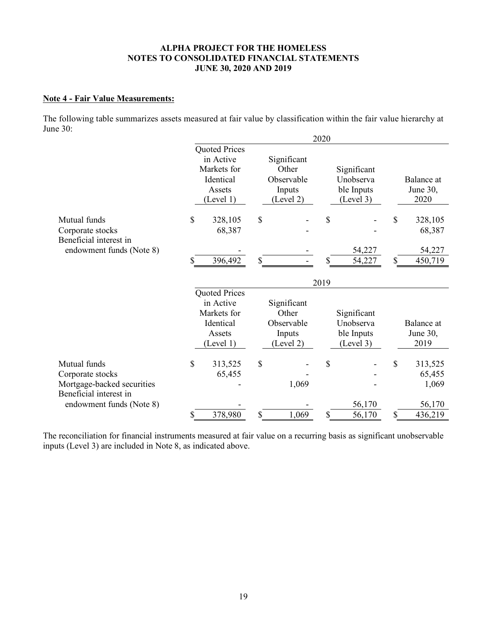# **Note 4 - Fair Value Measurements:**

The following table summarizes assets measured at fair value by classification within the fair value hierarchy at June 30:

|                                                                                                                      |                                                                                      |              |                                                           | 2020 |                                                     |                                            |
|----------------------------------------------------------------------------------------------------------------------|--------------------------------------------------------------------------------------|--------------|-----------------------------------------------------------|------|-----------------------------------------------------|--------------------------------------------|
|                                                                                                                      | <b>Quoted Prices</b><br>in Active<br>Markets for<br>Identical<br>Assets<br>(Level 1) |              | Significant<br>Other<br>Observable<br>Inputs<br>(Level 2) |      | Significant<br>Unobserva<br>ble Inputs<br>(Level 3) | Balance at<br>June 30,<br>2020             |
| Mutual funds<br>Corporate stocks<br>Beneficial interest in<br>endowment funds (Note 8)                               | \$<br>328,105<br>68,387                                                              | $\mathbb{S}$ |                                                           | \$   | 54,227                                              | \$<br>328,105<br>68,387<br>54,227          |
|                                                                                                                      | 396,492                                                                              | \$           |                                                           | 2019 | 54,227                                              | \$<br>450,719                              |
|                                                                                                                      | <b>Quoted Prices</b><br>in Active<br>Markets for<br>Identical<br>Assets<br>(Level 1) |              | Significant<br>Other<br>Observable<br>Inputs<br>(Level 2) |      | Significant<br>Unobserva<br>ble Inputs<br>(Level 3) | Balance at<br>June 30,<br>2019             |
| Mutual funds<br>Corporate stocks<br>Mortgage-backed securities<br>Beneficial interest in<br>endowment funds (Note 8) | \$<br>313,525<br>65,455                                                              | \$           | 1,069                                                     | \$   | 56,170                                              | \$<br>313,525<br>65,455<br>1,069<br>56,170 |
|                                                                                                                      | \$<br>378,980                                                                        | \$           | 1,069                                                     | \$   | 56,170                                              | \$<br>436,219                              |

The reconciliation for financial instruments measured at fair value on a recurring basis as significant unobservable inputs (Level 3) are included in Note 8, as indicated above.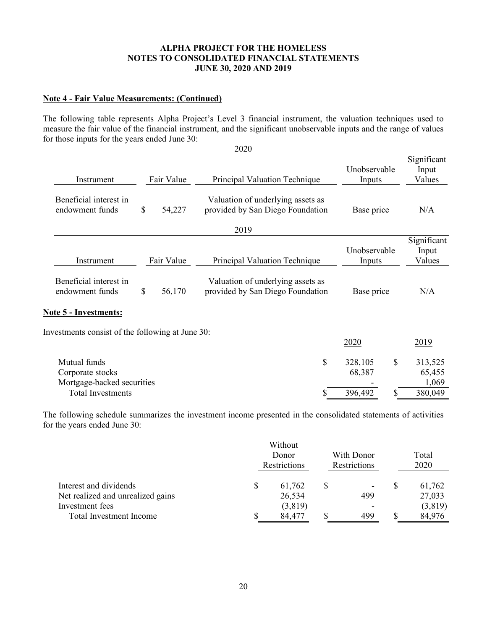# **Note 4 - Fair Value Measurements: (Continued)**

The following table represents Alpha Project's Level 3 financial instrument, the valuation techniques used to measure the fair value of the financial instrument, and the significant unobservable inputs and the range of values for those inputs for the years ended June 30:  $2020$ 

|                                           |              | 2020                                                                          |                        |                                |
|-------------------------------------------|--------------|-------------------------------------------------------------------------------|------------------------|--------------------------------|
| Instrument                                | Fair Value   | Principal Valuation Technique                                                 | Unobservable<br>Inputs | Significant<br>Input<br>Values |
| Beneficial interest in<br>endowment funds | \$<br>54,227 | Valuation of underlying assets as<br>provided by San Diego Foundation<br>2019 | Base price             | N/A                            |
|                                           |              |                                                                               |                        | Significant                    |
|                                           |              |                                                                               | <b>Unobservable</b>    | Input                          |
| Instrument                                | Fair Value   | Principal Valuation Technique                                                 | Inputs                 | Values                         |
| Beneficial interest in<br>endowment funds | \$<br>56,170 | Valuation of underlying assets as<br>provided by San Diego Foundation         | Base price             | N/A                            |

#### **Note 5 - Investments:**

Investments consist of the following at June 30:

|                            | 2020    | 2019    |
|----------------------------|---------|---------|
| Mutual funds               | 328,105 | 313,525 |
| Corporate stocks           | 68,387  | 65,455  |
| Mortgage-backed securities | -       | 1,069   |
| <b>Total Investments</b>   | 396,492 | 380,049 |

The following schedule summarizes the investment income presented in the consolidated statements of activities for the years ended June 30:

|                                   | Without<br>Donor<br>Restrictions |         | With Donor<br>Restrictions |   | Total<br>2020 |
|-----------------------------------|----------------------------------|---------|----------------------------|---|---------------|
| Interest and dividends            | S                                | 61,762  | -                          | S | 61,762        |
| Net realized and unrealized gains |                                  | 26,534  | 499                        |   | 27,033        |
| Investment fees                   |                                  | (3,819) |                            |   | (3,819)       |
| Total Investment Income           |                                  | 84,477  | 499                        |   | 84,976        |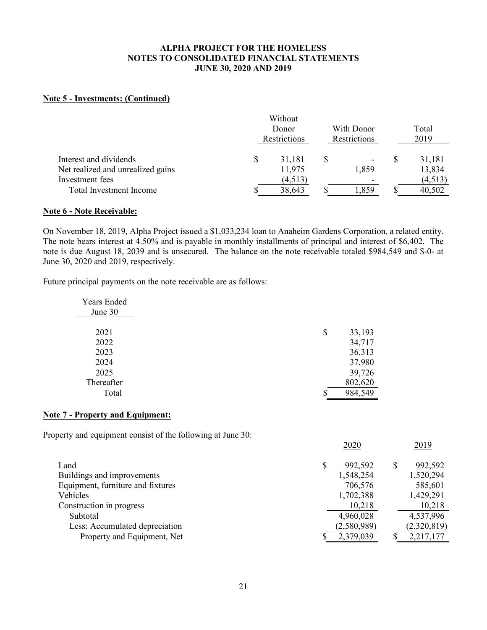### **Note 5 - Investments: (Continued)**

|                                   | Without<br>Donor<br>Restrictions |         | With Donor<br>Restrictions | Total<br>2019 |  |
|-----------------------------------|----------------------------------|---------|----------------------------|---------------|--|
| Interest and dividends            | S                                | 31,181  | -                          | 31,181        |  |
| Net realized and unrealized gains |                                  | 11,975  | 1,859                      | 13,834        |  |
| Investment fees                   |                                  | (4,513) |                            | (4,513)       |  |
| Total Investment Income           |                                  | 38,643  | 1,859                      | 40,502        |  |

#### **Note 6 - Note Receivable:**

On November 18, 2019, Alpha Project issued a \$1,033,234 loan to Anaheim Gardens Corporation, a related entity. The note bears interest at 4.50% and is payable in monthly installments of principal and interest of \$6,402. The note is due August 18, 2039 and is unsecured. The balance on the note receivable totaled \$984,549 and \$-0- at June 30, 2020 and 2019, respectively.

Future principal payments on the note receivable are as follows:

| Years Ended<br>June 30 |              |
|------------------------|--------------|
|                        |              |
| 2021                   | \$<br>33,193 |
| 2022                   | 34,717       |
| 2023                   | 36,313       |
| 2024                   | 37,980       |
| 2025                   | 39,726       |
| Thereafter             | 802,620      |
| Total                  | 984,549      |

#### **Note 7 - Property and Equipment:**

Property and equipment consist of the following at June 30:

|                                   | 2020        |   | 2019        |
|-----------------------------------|-------------|---|-------------|
| Land                              | 992,592     | S | 992,592     |
| Buildings and improvements        | 1,548,254   |   | 1,520,294   |
| Equipment, furniture and fixtures | 706,576     |   | 585,601     |
| Vehicles                          | 1,702,388   |   | 1,429,291   |
| Construction in progress          | 10,218      |   | 10,218      |
| Subtotal                          | 4,960,028   |   | 4,537,996   |
| Less: Accumulated depreciation    | (2,580,989) |   | (2,320,819) |
| Property and Equipment, Net       | 2,379,039   |   | 2,217,177   |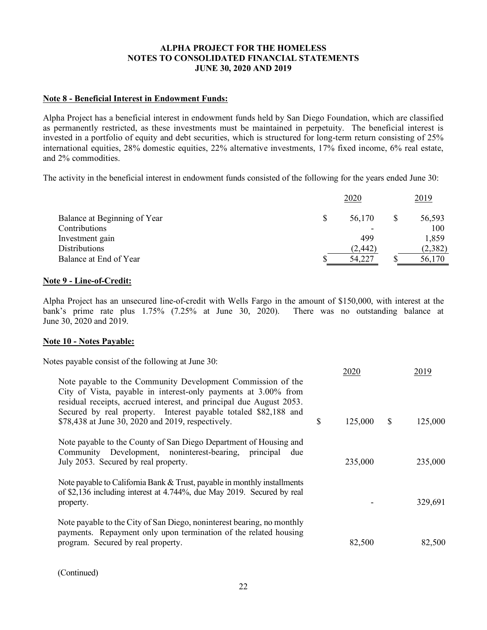### **Note 8 - Beneficial Interest in Endowment Funds:**

Alpha Project has a beneficial interest in endowment funds held by San Diego Foundation, which are classified as permanently restricted, as these investments must be maintained in perpetuity. The beneficial interest is invested in a portfolio of equity and debt securities, which is structured for long-term return consisting of 25% international equities, 28% domestic equities, 22% alternative investments, 17% fixed income, 6% real estate, and 2% commodities.

The activity in the beneficial interest in endowment funds consisted of the following for the years ended June 30:

| Balance at Beginning of Year | 2020     |    |         |  |
|------------------------------|----------|----|---------|--|
|                              | 56,170   | \$ | 56,593  |  |
| Contributions                |          |    | 100     |  |
| Investment gain              | 499      |    | 1,859   |  |
| <b>Distributions</b>         | (2, 442) |    | (2,382) |  |
| Balance at End of Year       | 54,227   |    | 56,170  |  |

#### **Note 9 - Line-of-Credit:**

Alpha Project has an unsecured line-of-credit with Wells Fargo in the amount of \$150,000, with interest at the bank's prime rate plus 1.75% (7.25% at June 30, 2020). There was no outstanding balance at June 30, 2020 and 2019.

#### **Note 10 - Notes Payable:**

Notes payable consist of the following at June 30:

| Note payable to the Community Development Commission of the<br>City of Vista, payable in interest-only payments at 3.00% from<br>residual receipts, accrued interest, and principal due August 2053. | 2020          |   | 2019    |
|------------------------------------------------------------------------------------------------------------------------------------------------------------------------------------------------------|---------------|---|---------|
| Secured by real property. Interest payable totaled \$82,188 and<br>\$78,438 at June 30, 2020 and 2019, respectively.                                                                                 | \$<br>125,000 | S | 125,000 |
| Note payable to the County of San Diego Department of Housing and<br>Community Development, noninterest-bearing, principal due<br>July 2053. Secured by real property.                               | 235,000       |   | 235,000 |
| Note payable to California Bank & Trust, payable in monthly installments<br>of \$2,136 including interest at 4.744%, due May 2019. Secured by real<br>property.                                      |               |   | 329,691 |
| Note payable to the City of San Diego, noninterest bearing, no monthly<br>payments. Repayment only upon termination of the related housing<br>program. Secured by real property.                     | 82,500        |   | 82,500  |

(Continued)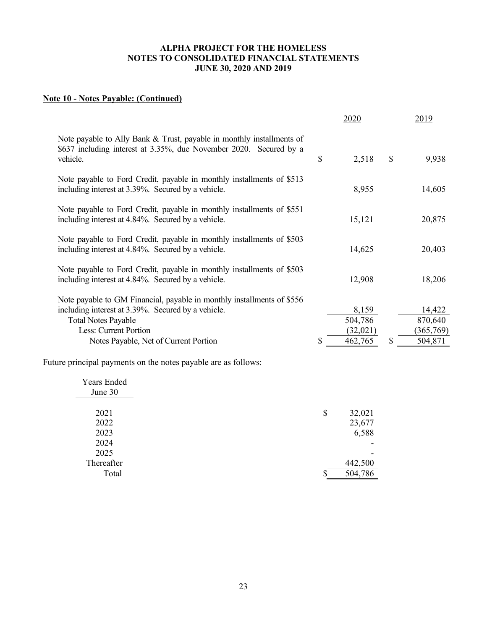# **Note 10 - Notes Payable: (Continued)**

|                                                                                                                                                                                                                                                                                                | 2020                                    |    | 2019                                       |
|------------------------------------------------------------------------------------------------------------------------------------------------------------------------------------------------------------------------------------------------------------------------------------------------|-----------------------------------------|----|--------------------------------------------|
| Note payable to Ally Bank & Trust, payable in monthly installments of<br>\$637 including interest at 3.35%, due November 2020. Secured by a<br>vehicle.                                                                                                                                        | \$<br>2,518                             | \$ | 9,938                                      |
| Note payable to Ford Credit, payable in monthly installments of \$513<br>including interest at 3.39%. Secured by a vehicle.                                                                                                                                                                    | 8,955                                   |    | 14,605                                     |
| Note payable to Ford Credit, payable in monthly installments of \$551<br>including interest at 4.84%. Secured by a vehicle.                                                                                                                                                                    | 15,121                                  |    | 20,875                                     |
| Note payable to Ford Credit, payable in monthly installments of \$503<br>including interest at 4.84%. Secured by a vehicle.                                                                                                                                                                    | 14,625                                  |    | 20,403                                     |
| Note payable to Ford Credit, payable in monthly installments of \$503<br>including interest at 4.84%. Secured by a vehicle.                                                                                                                                                                    | 12,908                                  |    | 18,206                                     |
| Note payable to GM Financial, payable in monthly installments of \$556<br>including interest at 3.39%. Secured by a vehicle.<br><b>Total Notes Payable</b><br>Less: Current Portion<br>Notes Payable, Net of Current Portion<br>Future principal payments on the notes payable are as follows: | 8,159<br>504,786<br>(32,021)<br>462,765 | S  | 14,422<br>870,640<br>(365, 769)<br>504,871 |
| Years Ended<br>June 30                                                                                                                                                                                                                                                                         |                                         |    |                                            |
| 2021<br>2022<br>2023<br>2024<br>2025                                                                                                                                                                                                                                                           | \$<br>32,021<br>23,677<br>6,588         |    |                                            |

| Thereafter |  |              | 442,500 |
|------------|--|--------------|---------|
| Total      |  | $\mathbb{S}$ | 504,786 |
|            |  |              |         |
|            |  |              |         |
|            |  |              |         |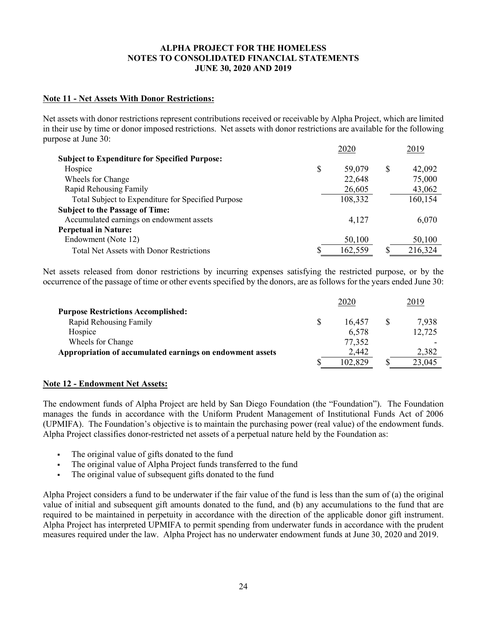### **Note 11 - Net Assets With Donor Restrictions:**

Net assets with donor restrictions represent contributions received or receivable by Alpha Project, which are limited in their use by time or donor imposed restrictions. Net assets with donor restrictions are available for the following purpose at June 30:

|                                                      | 2020 |         |   | 2019    |  |
|------------------------------------------------------|------|---------|---|---------|--|
| <b>Subject to Expenditure for Specified Purpose:</b> |      |         |   |         |  |
| Hospice                                              | \$   | 59,079  | S | 42,092  |  |
| Wheels for Change                                    |      | 22,648  |   | 75,000  |  |
| Rapid Rehousing Family                               |      | 26,605  |   | 43,062  |  |
| Total Subject to Expenditure for Specified Purpose   |      | 108,332 |   | 160,154 |  |
| <b>Subject to the Passage of Time:</b>               |      |         |   |         |  |
| Accumulated earnings on endowment assets             |      | 4,127   |   | 6,070   |  |
| <b>Perpetual in Nature:</b>                          |      |         |   |         |  |
| Endowment (Note 12)                                  |      | 50,100  |   | 50,100  |  |
| <b>Total Net Assets with Donor Restrictions</b>      |      | 162,559 |   | 216,324 |  |

Net assets released from donor restrictions by incurring expenses satisfying the restricted purpose, or by the occurrence of the passage of time or other events specified by the donors, are as follows for the years ended June 30:

|                                                           | 2020    | 2019   |
|-----------------------------------------------------------|---------|--------|
| <b>Purpose Restrictions Accomplished:</b>                 |         |        |
| Rapid Rehousing Family                                    | 16,457  | 7,938  |
| Hospice                                                   | 6,578   | 12,725 |
| Wheels for Change                                         | 77,352  |        |
| Appropriation of accumulated earnings on endowment assets | 2,442   | 2,382  |
|                                                           | 102,829 | 23,045 |

#### **Note 12 - Endowment Net Assets:**

The endowment funds of Alpha Project are held by San Diego Foundation (the "Foundation"). The Foundation manages the funds in accordance with the Uniform Prudent Management of Institutional Funds Act of 2006 (UPMIFA). The Foundation's objective is to maintain the purchasing power (real value) of the endowment funds. Alpha Project classifies donor-restricted net assets of a perpetual nature held by the Foundation as:

- The original value of gifts donated to the fund
- The original value of Alpha Project funds transferred to the fund
- The original value of subsequent gifts donated to the fund

Alpha Project considers a fund to be underwater if the fair value of the fund is less than the sum of (a) the original value of initial and subsequent gift amounts donated to the fund, and (b) any accumulations to the fund that are required to be maintained in perpetuity in accordance with the direction of the applicable donor gift instrument. Alpha Project has interpreted UPMIFA to permit spending from underwater funds in accordance with the prudent measures required under the law. Alpha Project has no underwater endowment funds at June 30, 2020 and 2019.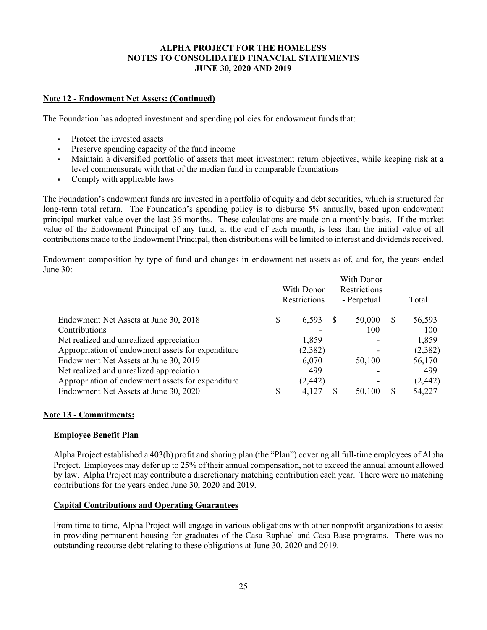### **Note 12 - Endowment Net Assets: (Continued)**

The Foundation has adopted investment and spending policies for endowment funds that:

- Protect the invested assets
- Preserve spending capacity of the fund income
- Maintain a diversified portfolio of assets that meet investment return objectives, while keeping risk at a level commensurate with that of the median fund in comparable foundations
- Comply with applicable laws

The Foundation's endowment funds are invested in a portfolio of equity and debt securities, which is structured for long-term total return. The Foundation's spending policy is to disburse 5% annually, based upon endowment principal market value over the last 36 months. These calculations are made on a monthly basis. If the market value of the Endowment Principal of any fund, at the end of each month, is less than the initial value of all contributions made to the Endowment Principal, then distributions will be limited to interest and dividends received.

Endowment composition by type of fund and changes in endowment net assets as of, and for, the years ended June 30:

|                                                   |   | With Donor<br>Restrictions |   | With Donor<br>Restrictions<br>- Perpetual |   | Total    |
|---------------------------------------------------|---|----------------------------|---|-------------------------------------------|---|----------|
| Endowment Net Assets at June 30, 2018             | S | 6,593                      | S | 50,000                                    | S | 56,593   |
| Contributions                                     |   |                            |   | 100                                       |   | 100      |
| Net realized and unrealized appreciation          |   | 1,859                      |   |                                           |   | 1,859    |
| Appropriation of endowment assets for expenditure |   | (2,382)                    |   |                                           |   | (2, 382) |
| Endowment Net Assets at June 30, 2019             |   | 6,070                      |   | 50,100                                    |   | 56,170   |
| Net realized and unrealized appreciation          |   | 499                        |   |                                           |   | 499      |
| Appropriation of endowment assets for expenditure |   | (2, 442)                   |   |                                           |   | (2, 442) |
| Endowment Net Assets at June 30, 2020             |   | 4,127                      |   | 50,100                                    |   | 54,227   |

#### **Note 13 - Commitments:**

#### **Employee Benefit Plan**

Alpha Project established a 403(b) profit and sharing plan (the "Plan") covering all full-time employees of Alpha Project. Employees may defer up to 25% of their annual compensation, not to exceed the annual amount allowed by law. Alpha Project may contribute a discretionary matching contribution each year. There were no matching contributions for the years ended June 30, 2020 and 2019.

#### **Capital Contributions and Operating Guarantees**

From time to time, Alpha Project will engage in various obligations with other nonprofit organizations to assist in providing permanent housing for graduates of the Casa Raphael and Casa Base programs. There was no outstanding recourse debt relating to these obligations at June 30, 2020 and 2019.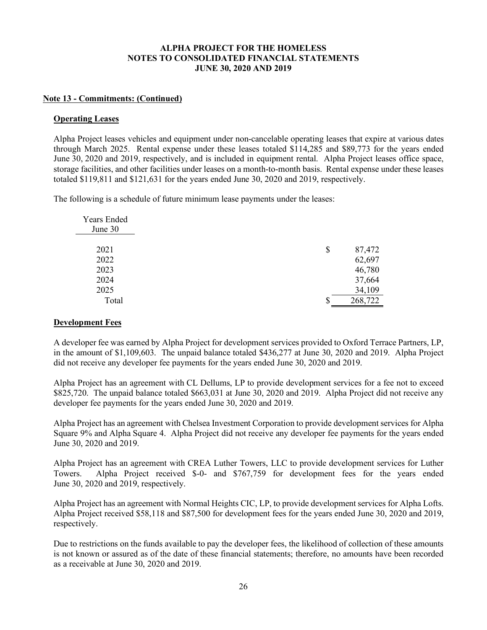#### **Note 13 - Commitments: (Continued)**

#### **Operating Leases**

Alpha Project leases vehicles and equipment under non-cancelable operating leases that expire at various dates through March 2025. Rental expense under these leases totaled \$114,285 and \$89,773 for the years ended June 30, 2020 and 2019, respectively, and is included in equipment rental. Alpha Project leases office space, storage facilities, and other facilities under leases on a month-to-month basis. Rental expense under these leases totaled \$119,811 and \$121,631 for the years ended June 30, 2020 and 2019, respectively.

The following is a schedule of future minimum lease payments under the leases:

| <b>Years Ended</b><br>June 30 |               |
|-------------------------------|---------------|
|                               |               |
| 2021                          | \$<br>87,472  |
| 2022                          | 62,697        |
| 2023                          | 46,780        |
| 2024                          | 37,664        |
| 2025                          | 34,109        |
| Total                         | \$<br>268,722 |

#### **Development Fees**

A developer fee was earned by Alpha Project for development services provided to Oxford Terrace Partners, LP, in the amount of \$1,109,603. The unpaid balance totaled \$436,277 at June 30, 2020 and 2019. Alpha Project did not receive any developer fee payments for the years ended June 30, 2020 and 2019.

Alpha Project has an agreement with CL Dellums, LP to provide development services for a fee not to exceed \$825,720. The unpaid balance totaled \$663,031 at June 30, 2020 and 2019. Alpha Project did not receive any developer fee payments for the years ended June 30, 2020 and 2019.

Alpha Project has an agreement with Chelsea Investment Corporation to provide development services for Alpha Square 9% and Alpha Square 4. Alpha Project did not receive any developer fee payments for the years ended June 30, 2020 and 2019.

Alpha Project has an agreement with CREA Luther Towers, LLC to provide development services for Luther Towers. Alpha Project received \$-0- and \$767,759 for development fees for the years ended June 30, 2020 and 2019, respectively.

Alpha Project has an agreement with Normal Heights CIC, LP, to provide development services for Alpha Lofts. Alpha Project received \$58,118 and \$87,500 for development fees for the years ended June 30, 2020 and 2019, respectively.

Due to restrictions on the funds available to pay the developer fees, the likelihood of collection of these amounts is not known or assured as of the date of these financial statements; therefore, no amounts have been recorded as a receivable at June 30, 2020 and 2019.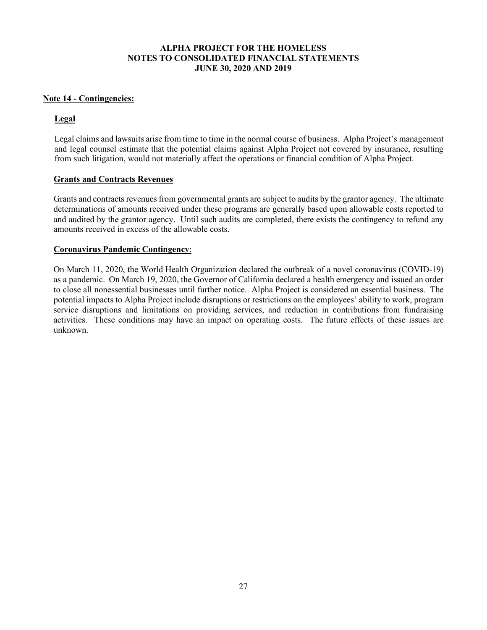### **Note 14 - Contingencies:**

### **Legal**

Legal claims and lawsuits arise from time to time in the normal course of business. Alpha Project's management and legal counsel estimate that the potential claims against Alpha Project not covered by insurance, resulting from such litigation, would not materially affect the operations or financial condition of Alpha Project.

### **Grants and Contracts Revenues**

Grants and contracts revenues from governmental grants are subject to audits by the grantor agency. The ultimate determinations of amounts received under these programs are generally based upon allowable costs reported to and audited by the grantor agency. Until such audits are completed, there exists the contingency to refund any amounts received in excess of the allowable costs.

### **Coronavirus Pandemic Contingency**:

On March 11, 2020, the World Health Organization declared the outbreak of a novel coronavirus (COVID-19) as a pandemic. On March 19, 2020, the Governor of California declared a health emergency and issued an order to close all nonessential businesses until further notice. Alpha Project is considered an essential business. The potential impacts to Alpha Project include disruptions or restrictions on the employees' ability to work, program service disruptions and limitations on providing services, and reduction in contributions from fundraising activities. These conditions may have an impact on operating costs. The future effects of these issues are unknown.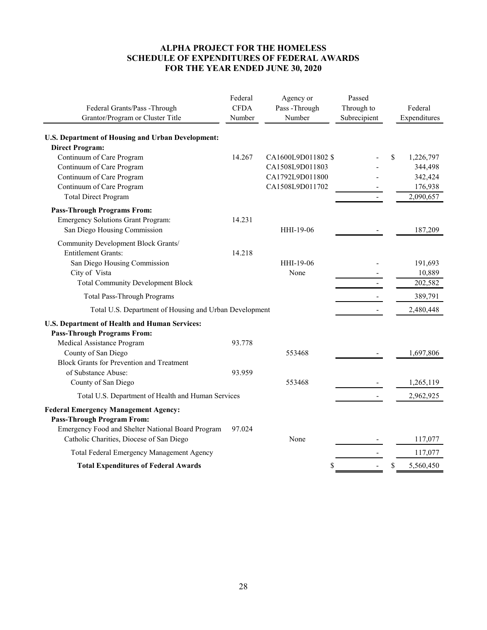### **ALPHA PROJECT FOR THE HOMELESS SCHEDULE OF EXPENDITURES OF FEDERAL AWARDS FOR THE YEAR ENDED JUNE 30, 2020**

| Federal Grants/Pass -Through<br>Grantor/Program or Cluster Title  | Federal<br><b>CFDA</b><br>Number | Agency or<br>Pass - Through<br>Number | Passed<br>Through to<br>Subrecipient | Federal<br>Expenditures |
|-------------------------------------------------------------------|----------------------------------|---------------------------------------|--------------------------------------|-------------------------|
| U.S. Department of Housing and Urban Development:                 |                                  |                                       |                                      |                         |
| <b>Direct Program:</b>                                            |                                  |                                       |                                      |                         |
| Continuum of Care Program                                         | 14.267                           | CA1600L9D011802 \$                    |                                      | \$<br>1,226,797         |
| Continuum of Care Program                                         |                                  | CA1508L9D011803                       |                                      | 344,498                 |
| Continuum of Care Program                                         |                                  | CA1792L9D011800                       |                                      | 342,424                 |
| Continuum of Care Program                                         |                                  | CA1508L9D011702                       |                                      | 176,938                 |
| <b>Total Direct Program</b>                                       |                                  |                                       |                                      | 2,090,657               |
| <b>Pass-Through Programs From:</b>                                |                                  |                                       |                                      |                         |
| <b>Emergency Solutions Grant Program:</b>                         | 14.231                           |                                       |                                      |                         |
| San Diego Housing Commission                                      |                                  | HHI-19-06                             |                                      | 187,209                 |
|                                                                   |                                  |                                       |                                      |                         |
| Community Development Block Grants/<br><b>Entitlement Grants:</b> | 14.218                           |                                       |                                      |                         |
| San Diego Housing Commission                                      |                                  | HHI-19-06                             |                                      | 191,693                 |
| City of Vista                                                     |                                  | None                                  |                                      | 10,889                  |
| <b>Total Community Development Block</b>                          |                                  |                                       |                                      | 202,582                 |
|                                                                   |                                  |                                       |                                      |                         |
| <b>Total Pass-Through Programs</b>                                |                                  |                                       |                                      | 389,791                 |
| Total U.S. Department of Housing and Urban Development            |                                  |                                       |                                      | 2,480,448               |
| U.S. Department of Health and Human Services:                     |                                  |                                       |                                      |                         |
| <b>Pass-Through Programs From:</b>                                |                                  |                                       |                                      |                         |
| Medical Assistance Program                                        | 93.778                           |                                       |                                      |                         |
| County of San Diego                                               |                                  | 553468                                |                                      | 1,697,806               |
| <b>Block Grants for Prevention and Treatment</b>                  |                                  |                                       |                                      |                         |
| of Substance Abuse:                                               | 93.959                           |                                       |                                      |                         |
| County of San Diego                                               |                                  | 553468                                |                                      | 1,265,119               |
| Total U.S. Department of Health and Human Services                |                                  |                                       |                                      | 2,962,925               |
| <b>Federal Emergency Management Agency:</b>                       |                                  |                                       |                                      |                         |
| <b>Pass-Through Program From:</b>                                 |                                  |                                       |                                      |                         |
| Emergency Food and Shelter National Board Program                 | 97.024                           |                                       |                                      |                         |
| Catholic Charities, Diocese of San Diego                          |                                  | None                                  |                                      | 117,077                 |
| Total Federal Emergency Management Agency                         |                                  |                                       |                                      | 117,077                 |
| <b>Total Expenditures of Federal Awards</b>                       |                                  | \$                                    |                                      | 5,560,450               |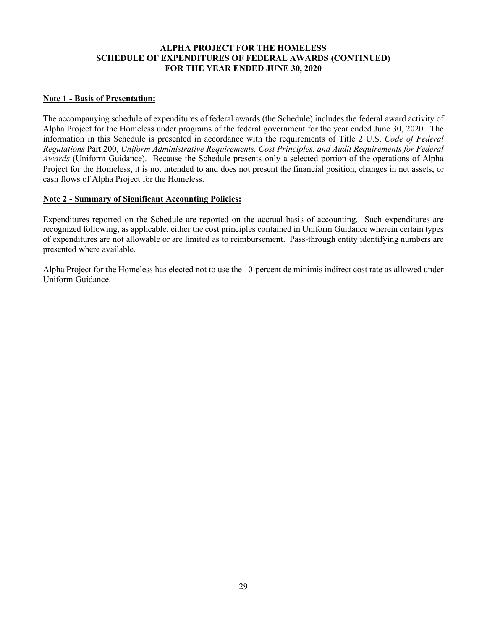### **ALPHA PROJECT FOR THE HOMELESS SCHEDULE OF EXPENDITURES OF FEDERAL AWARDS (CONTINUED) FOR THE YEAR ENDED JUNE 30, 2020**

### **Note 1 - Basis of Presentation:**

The accompanying schedule of expenditures of federal awards (the Schedule) includes the federal award activity of Alpha Project for the Homeless under programs of the federal government for the year ended June 30, 2020. The information in this Schedule is presented in accordance with the requirements of Title 2 U.S. *Code of Federal Regulations* Part 200, *Uniform Administrative Requirements, Cost Principles, and Audit Requirements for Federal Awards* (Uniform Guidance). Because the Schedule presents only a selected portion of the operations of Alpha Project for the Homeless, it is not intended to and does not present the financial position, changes in net assets, or cash flows of Alpha Project for the Homeless.

### **Note 2 - Summary of Significant Accounting Policies:**

Expenditures reported on the Schedule are reported on the accrual basis of accounting. Such expenditures are recognized following, as applicable, either the cost principles contained in Uniform Guidance wherein certain types of expenditures are not allowable or are limited as to reimbursement. Pass-through entity identifying numbers are presented where available.

Alpha Project for the Homeless has elected not to use the 10-percent de minimis indirect cost rate as allowed under Uniform Guidance.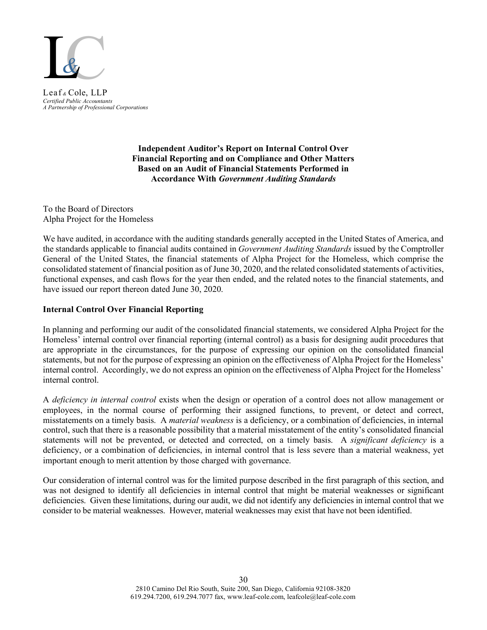

*Certified Public Accountants A Partnership of Professional Corporations* Leaf *&* Cole, LLP

> **Independent Auditor's Report on Internal Control Over Financial Reporting and on Compliance and Other Matters Based on an Audit of Financial Statements Performed in Accordance With** *Government Auditing Standards*

To the Board of Directors Alpha Project for the Homeless

We have audited, in accordance with the auditing standards generally accepted in the United States of America, and the standards applicable to financial audits contained in *Government Auditing Standards* issued by the Comptroller General of the United States, the financial statements of Alpha Project for the Homeless, which comprise the consolidated statement of financial position as of June 30, 2020, and the related consolidated statements of activities, functional expenses, and cash flows for the year then ended, and the related notes to the financial statements, and have issued our report thereon dated June 30, 2020.

### **Internal Control Over Financial Reporting**

In planning and performing our audit of the consolidated financial statements, we considered Alpha Project for the Homeless' internal control over financial reporting (internal control) as a basis for designing audit procedures that are appropriate in the circumstances, for the purpose of expressing our opinion on the consolidated financial statements, but not for the purpose of expressing an opinion on the effectiveness of Alpha Project for the Homeless' internal control. Accordingly, we do not express an opinion on the effectiveness of Alpha Project for the Homeless' internal control.

A *deficiency in internal control* exists when the design or operation of a control does not allow management or employees, in the normal course of performing their assigned functions, to prevent, or detect and correct, misstatements on a timely basis. A *material weakness* is a deficiency, or a combination of deficiencies, in internal control, such that there is a reasonable possibility that a material misstatement of the entity's consolidated financial statements will not be prevented, or detected and corrected, on a timely basis. A *significant deficiency* is a deficiency, or a combination of deficiencies, in internal control that is less severe than a material weakness, yet important enough to merit attention by those charged with governance.

Our consideration of internal control was for the limited purpose described in the first paragraph of this section, and was not designed to identify all deficiencies in internal control that might be material weaknesses or significant deficiencies. Given these limitations, during our audit, we did not identify any deficiencies in internal control that we consider to be material weaknesses. However, material weaknesses may exist that have not been identified.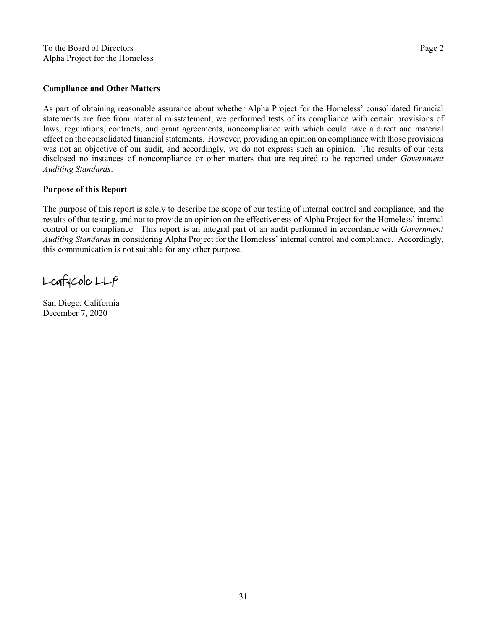#### **Compliance and Other Matters**

As part of obtaining reasonable assurance about whether Alpha Project for the Homeless' consolidated financial statements are free from material misstatement, we performed tests of its compliance with certain provisions of laws, regulations, contracts, and grant agreements, noncompliance with which could have a direct and material effect on the consolidated financial statements. However, providing an opinion on compliance with those provisions was not an objective of our audit, and accordingly, we do not express such an opinion. The results of our tests disclosed no instances of noncompliance or other matters that are required to be reported under *Government Auditing Standards*.

#### **Purpose of this Report**

The purpose of this report is solely to describe the scope of our testing of internal control and compliance, and the results of that testing, and not to provide an opinion on the effectiveness of Alpha Project for the Homeless' internal control or on compliance. This report is an integral part of an audit performed in accordance with *Government Auditing Standards* in considering Alpha Project for the Homeless' internal control and compliance. Accordingly, this communication is not suitable for any other purpose.

 $L$ eafg $C$ ole $L L \rho$ 

San Diego, California December 7, 2020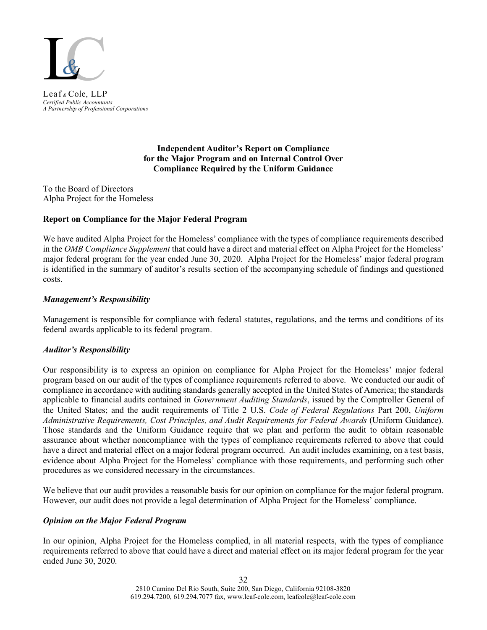

*Certified Public Accountants A Partnership of Professional Corporations* Leaf *&* Cole, LLP

> **Independent Auditor's Report on Compliance for the Major Program and on Internal Control Over Compliance Required by the Uniform Guidance**

To the Board of Directors Alpha Project for the Homeless

### **Report on Compliance for the Major Federal Program**

We have audited Alpha Project for the Homeless' compliance with the types of compliance requirements described in the *OMB Compliance Supplement* that could have a direct and material effect on Alpha Project for the Homeless' major federal program for the year ended June 30, 2020. Alpha Project for the Homeless' major federal program is identified in the summary of auditor's results section of the accompanying schedule of findings and questioned costs.

#### *Management's Responsibility*

Management is responsible for compliance with federal statutes, regulations, and the terms and conditions of its federal awards applicable to its federal program.

#### *Auditor's Responsibility*

Our responsibility is to express an opinion on compliance for Alpha Project for the Homeless' major federal program based on our audit of the types of compliance requirements referred to above. We conducted our audit of compliance in accordance with auditing standards generally accepted in the United States of America; the standards applicable to financial audits contained in *Government Auditing Standards*, issued by the Comptroller General of the United States; and the audit requirements of Title 2 U.S. *Code of Federal Regulations* Part 200, *Uniform Administrative Requirements, Cost Principles, and Audit Requirements for Federal Awards* (Uniform Guidance). Those standards and the Uniform Guidance require that we plan and perform the audit to obtain reasonable assurance about whether noncompliance with the types of compliance requirements referred to above that could have a direct and material effect on a major federal program occurred. An audit includes examining, on a test basis, evidence about Alpha Project for the Homeless' compliance with those requirements, and performing such other procedures as we considered necessary in the circumstances.

We believe that our audit provides a reasonable basis for our opinion on compliance for the major federal program. However, our audit does not provide a legal determination of Alpha Project for the Homeless' compliance.

#### *Opinion on the Major Federal Program*

In our opinion, Alpha Project for the Homeless complied, in all material respects, with the types of compliance requirements referred to above that could have a direct and material effect on its major federal program for the year ended June 30, 2020.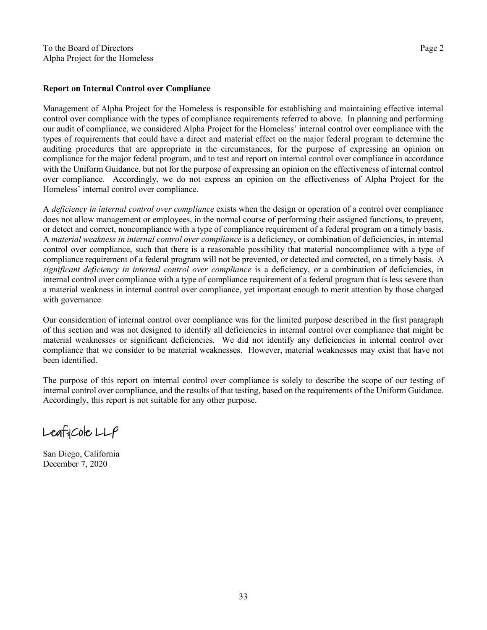#### **Report on Internal Control over Compliance**

Management of Alpha Project for the Homeless is responsible for establishing and maintaining effective internal control over compliance with the types of compliance requirements referred to above. In planning and performing our audit of compliance, we considered Alpha Project for the Homeless' internal control over compliance with the types of requirements that could have a direct and material effect on the major federal program to determine the auditing procedures that are appropriate in the circumstances, for the purpose of expressing an opinion on compliance for the major federal program, and to test and report on internal control over compliance in accordance with the Uniform Guidance, but not for the purpose of expressing an opinion on the effectiveness of internal control over compliance. Accordingly, we do not express an opinion on the effectiveness of Alpha Project for the Homeless' internal control over compliance.

A *deficiency in internal control over compliance* exists when the design or operation of a control over compliance does not allow management or employees, in the normal course of performing their assigned functions, to prevent, or detect and correct, noncompliance with a type of compliance requirement of a federal program on a timely basis. A *material weakness in internal control over compliance* is a deficiency, or combination of deficiencies, in internal control over compliance, such that there is a reasonable possibility that material noncompliance with a type of compliance requirement of a federal program will not be prevented, or detected and corrected, on a timely basis. A *significant deficiency in internal control over compliance* is a deficiency, or a combination of deficiencies, in internal control over compliance with a type of compliance requirement of a federal program that is less severe than a material weakness in internal control over compliance, yet important enough to merit attention by those charged with governance.

Our consideration of internal control over compliance was for the limited purpose described in the first paragraph of this section and was not designed to identify all deficiencies in internal control over compliance that might be material weaknesses or significant deficiencies. We did not identify any deficiencies in internal control over compliance that we consider to be material weaknesses. However, material weaknesses may exist that have not been identified.

The purpose of this report on internal control over compliance is solely to describe the scope of our testing of internal control over compliance, and the results of that testing, based on the requirements of the Uniform Guidance. Accordingly, this report is not suitable for any other purpose.

 $L$ eaf $3$ Cole  $LLP$ 

San Diego, California December 7, 2020